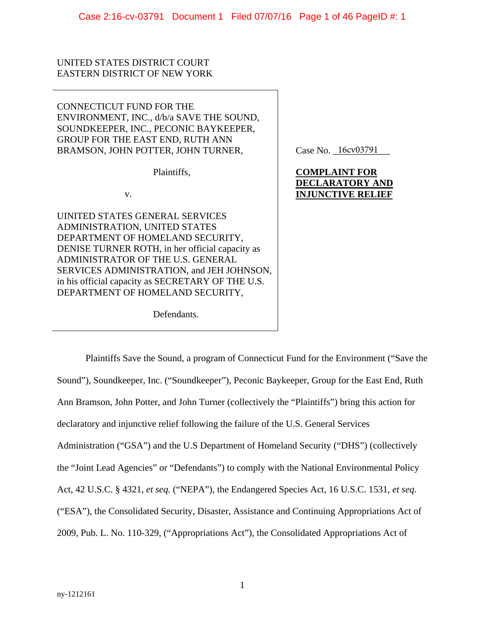Case 2:16-cv-03791 Document 1 Filed 07/07/16 Page 1 of 46 PageID #: 1

## UNITED STATES DISTRICT COURT EASTERN DISTRICT OF NEW YORK

CONNECTICUT FUND FOR THE ENVIRONMENT, INC., d/b/a SAVE THE SOUND, SOUNDKEEPER, INC., PECONIC BAYKEEPER, GROUP FOR THE EAST END, RUTH ANN BRAMSON, JOHN POTTER, JOHN TURNER,

Plaintiffs,

v.

UINITED STATES GENERAL SERVICES ADMINISTRATION, UNITED STATES DEPARTMENT OF HOMELAND SECURITY, DENISE TURNER ROTH, in her official capacity as ADMINISTRATOR OF THE U.S. GENERAL SERVICES ADMINISTRATION, and JEH JOHNSON, in his official capacity as SECRETARY OF THE U.S. DEPARTMENT OF HOMELAND SECURITY,

Defendants.

Case No. 16cv03791

## **COMPLAINT FOR DECLARATORY AND INJUNCTIVE RELIEF**

Plaintiffs Save the Sound, a program of Connecticut Fund for the Environment ("Save the Sound"), Soundkeeper, Inc. ("Soundkeeper"), Peconic Baykeeper, Group for the East End, Ruth Ann Bramson, John Potter, and John Turner (collectively the "Plaintiffs") bring this action for declaratory and injunctive relief following the failure of the U.S. General Services Administration ("GSA") and the U.S Department of Homeland Security ("DHS") (collectively the "Joint Lead Agencies" or "Defendants") to comply with the National Environmental Policy Act, 42 U.S.C. § 4321, *et seq.* ("NEPA"), the Endangered Species Act, 16 U.S.C. 1531, *et seq.* ("ESA"), the Consolidated Security, Disaster, Assistance and Continuing Appropriations Act of 2009, Pub. L. No. 110-329, ("Appropriations Act"), the Consolidated Appropriations Act of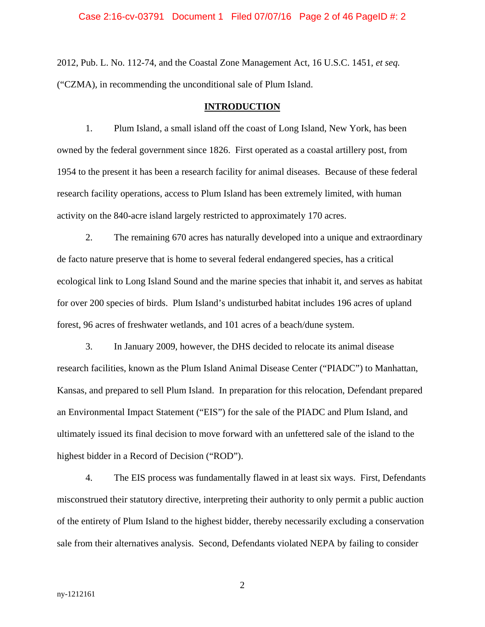2012, Pub. L. No. 112-74, and the Coastal Zone Management Act, 16 U.S.C. 1451, *et seq.* ("CZMA), in recommending the unconditional sale of Plum Island.

#### **INTRODUCTION**

1. Plum Island, a small island off the coast of Long Island, New York, has been owned by the federal government since 1826. First operated as a coastal artillery post, from 1954 to the present it has been a research facility for animal diseases. Because of these federal research facility operations, access to Plum Island has been extremely limited, with human activity on the 840-acre island largely restricted to approximately 170 acres.

2. The remaining 670 acres has naturally developed into a unique and extraordinary de facto nature preserve that is home to several federal endangered species, has a critical ecological link to Long Island Sound and the marine species that inhabit it, and serves as habitat for over 200 species of birds. Plum Island's undisturbed habitat includes 196 acres of upland forest, 96 acres of freshwater wetlands, and 101 acres of a beach/dune system.

3. In January 2009, however, the DHS decided to relocate its animal disease research facilities, known as the Plum Island Animal Disease Center ("PIADC") to Manhattan, Kansas, and prepared to sell Plum Island. In preparation for this relocation, Defendant prepared an Environmental Impact Statement ("EIS") for the sale of the PIADC and Plum Island, and ultimately issued its final decision to move forward with an unfettered sale of the island to the highest bidder in a Record of Decision ("ROD").

4. The EIS process was fundamentally flawed in at least six ways. First, Defendants misconstrued their statutory directive, interpreting their authority to only permit a public auction of the entirety of Plum Island to the highest bidder, thereby necessarily excluding a conservation sale from their alternatives analysis. Second, Defendants violated NEPA by failing to consider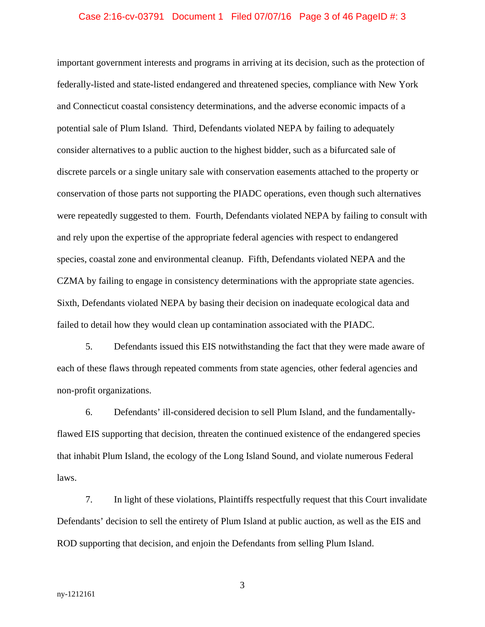#### Case 2:16-cv-03791 Document 1 Filed 07/07/16 Page 3 of 46 PageID #: 3

important government interests and programs in arriving at its decision, such as the protection of federally-listed and state-listed endangered and threatened species, compliance with New York and Connecticut coastal consistency determinations, and the adverse economic impacts of a potential sale of Plum Island. Third, Defendants violated NEPA by failing to adequately consider alternatives to a public auction to the highest bidder, such as a bifurcated sale of discrete parcels or a single unitary sale with conservation easements attached to the property or conservation of those parts not supporting the PIADC operations, even though such alternatives were repeatedly suggested to them. Fourth, Defendants violated NEPA by failing to consult with and rely upon the expertise of the appropriate federal agencies with respect to endangered species, coastal zone and environmental cleanup. Fifth, Defendants violated NEPA and the CZMA by failing to engage in consistency determinations with the appropriate state agencies. Sixth, Defendants violated NEPA by basing their decision on inadequate ecological data and failed to detail how they would clean up contamination associated with the PIADC.

5. Defendants issued this EIS notwithstanding the fact that they were made aware of each of these flaws through repeated comments from state agencies, other federal agencies and non-profit organizations.

6. Defendants' ill-considered decision to sell Plum Island, and the fundamentallyflawed EIS supporting that decision, threaten the continued existence of the endangered species that inhabit Plum Island, the ecology of the Long Island Sound, and violate numerous Federal laws.

7. In light of these violations, Plaintiffs respectfully request that this Court invalidate Defendants' decision to sell the entirety of Plum Island at public auction, as well as the EIS and ROD supporting that decision, and enjoin the Defendants from selling Plum Island.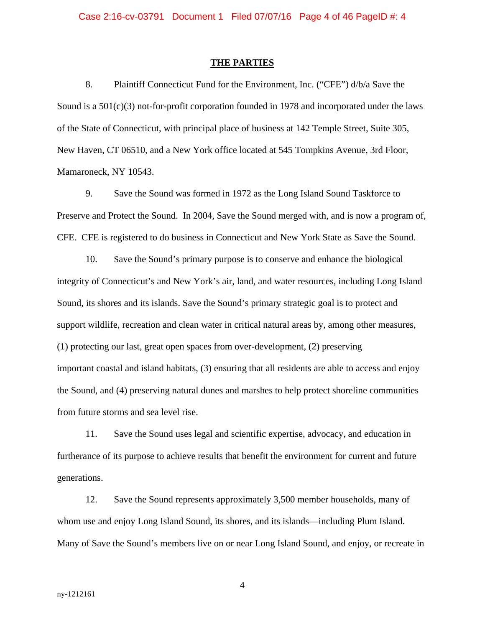#### **THE PARTIES**

8. Plaintiff Connecticut Fund for the Environment, Inc. ("CFE") d/b/a Save the Sound is a  $501(c)(3)$  not-for-profit corporation founded in 1978 and incorporated under the laws of the State of Connecticut, with principal place of business at 142 Temple Street, Suite 305, New Haven, CT 06510, and a New York office located at 545 Tompkins Avenue, 3rd Floor, Mamaroneck, NY 10543.

9. Save the Sound was formed in 1972 as the Long Island Sound Taskforce to Preserve and Protect the Sound. In 2004, Save the Sound merged with, and is now a program of, CFE. CFE is registered to do business in Connecticut and New York State as Save the Sound.

10. Save the Sound's primary purpose is to conserve and enhance the biological integrity of Connecticut's and New York's air, land, and water resources, including Long Island Sound, its shores and its islands. Save the Sound's primary strategic goal is to protect and support wildlife, recreation and clean water in critical natural areas by, among other measures, (1) protecting our last, great open spaces from over-development, (2) preserving important coastal and island habitats, (3) ensuring that all residents are able to access and enjoy the Sound, and (4) preserving natural dunes and marshes to help protect shoreline communities from future storms and sea level rise.

11. Save the Sound uses legal and scientific expertise, advocacy, and education in furtherance of its purpose to achieve results that benefit the environment for current and future generations.

12. Save the Sound represents approximately 3,500 member households, many of whom use and enjoy Long Island Sound, its shores, and its islands—including Plum Island. Many of Save the Sound's members live on or near Long Island Sound, and enjoy, or recreate in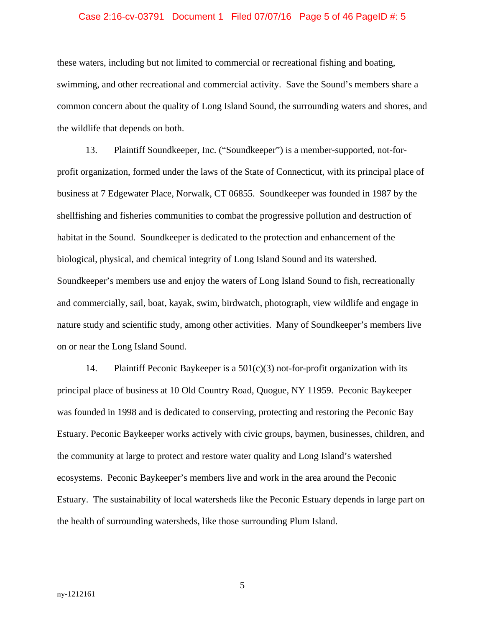#### Case 2:16-cv-03791 Document 1 Filed 07/07/16 Page 5 of 46 PageID #: 5

these waters, including but not limited to commercial or recreational fishing and boating, swimming, and other recreational and commercial activity. Save the Sound's members share a common concern about the quality of Long Island Sound, the surrounding waters and shores, and the wildlife that depends on both.

13. Plaintiff Soundkeeper, Inc. ("Soundkeeper") is a member-supported, not-forprofit organization, formed under the laws of the State of Connecticut, with its principal place of business at 7 Edgewater Place, Norwalk, CT 06855. Soundkeeper was founded in 1987 by the shellfishing and fisheries communities to combat the progressive pollution and destruction of habitat in the Sound. Soundkeeper is dedicated to the protection and enhancement of the biological, physical, and chemical integrity of Long Island Sound and its watershed. Soundkeeper's members use and enjoy the waters of Long Island Sound to fish, recreationally and commercially, sail, boat, kayak, swim, birdwatch, photograph, view wildlife and engage in nature study and scientific study, among other activities. Many of Soundkeeper's members live on or near the Long Island Sound.

14. Plaintiff Peconic Baykeeper is a 501(c)(3) not-for-profit organization with its principal place of business at 10 Old Country Road, Quogue, NY 11959. Peconic Baykeeper was founded in 1998 and is dedicated to conserving, protecting and restoring the Peconic Bay Estuary. Peconic Baykeeper works actively with civic groups, baymen, businesses, children, and the community at large to protect and restore water quality and Long Island's watershed ecosystems. Peconic Baykeeper's members live and work in the area around the Peconic Estuary. The sustainability of local watersheds like the Peconic Estuary depends in large part on the health of surrounding watersheds, like those surrounding Plum Island.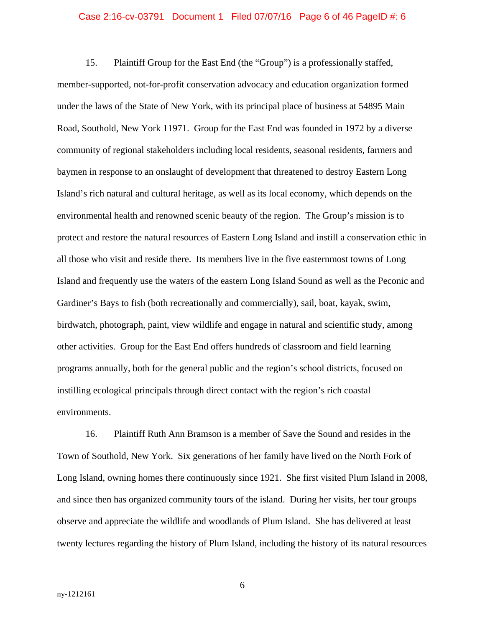#### Case 2:16-cv-03791 Document 1 Filed 07/07/16 Page 6 of 46 PageID #: 6

15. Plaintiff Group for the East End (the "Group") is a professionally staffed, member-supported, not-for-profit conservation advocacy and education organization formed under the laws of the State of New York, with its principal place of business at 54895 Main Road, Southold, New York 11971. Group for the East End was founded in 1972 by a diverse community of regional stakeholders including local residents, seasonal residents, farmers and baymen in response to an onslaught of development that threatened to destroy Eastern Long Island's rich natural and cultural heritage, as well as its local economy, which depends on the environmental health and renowned scenic beauty of the region. The Group's mission is to protect and restore the natural resources of Eastern Long Island and instill a conservation ethic in all those who visit and reside there. Its members live in the five easternmost towns of Long Island and frequently use the waters of the eastern Long Island Sound as well as the Peconic and Gardiner's Bays to fish (both recreationally and commercially), sail, boat, kayak, swim, birdwatch, photograph, paint, view wildlife and engage in natural and scientific study, among other activities. Group for the East End offers hundreds of classroom and field learning programs annually, both for the general public and the region's school districts, focused on instilling ecological principals through direct contact with the region's rich coastal environments.

16. Plaintiff Ruth Ann Bramson is a member of Save the Sound and resides in the Town of Southold, New York. Six generations of her family have lived on the North Fork of Long Island, owning homes there continuously since 1921. She first visited Plum Island in 2008, and since then has organized community tours of the island. During her visits, her tour groups observe and appreciate the wildlife and woodlands of Plum Island. She has delivered at least twenty lectures regarding the history of Plum Island, including the history of its natural resources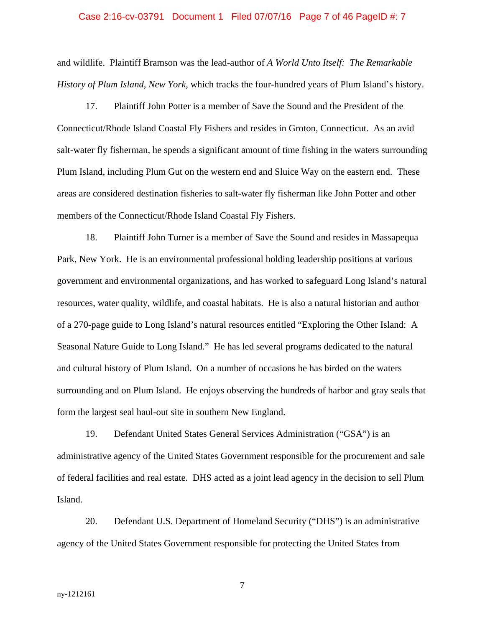#### Case 2:16-cv-03791 Document 1 Filed 07/07/16 Page 7 of 46 PageID #: 7

and wildlife. Plaintiff Bramson was the lead-author of *A World Unto Itself: The Remarkable History of Plum Island, New York*, which tracks the four-hundred years of Plum Island's history.

17. Plaintiff John Potter is a member of Save the Sound and the President of the Connecticut/Rhode Island Coastal Fly Fishers and resides in Groton, Connecticut. As an avid salt-water fly fisherman, he spends a significant amount of time fishing in the waters surrounding Plum Island, including Plum Gut on the western end and Sluice Way on the eastern end. These areas are considered destination fisheries to salt-water fly fisherman like John Potter and other members of the Connecticut/Rhode Island Coastal Fly Fishers.

18. Plaintiff John Turner is a member of Save the Sound and resides in Massapequa Park, New York. He is an environmental professional holding leadership positions at various government and environmental organizations, and has worked to safeguard Long Island's natural resources, water quality, wildlife, and coastal habitats. He is also a natural historian and author of a 270-page guide to Long Island's natural resources entitled "Exploring the Other Island: A Seasonal Nature Guide to Long Island." He has led several programs dedicated to the natural and cultural history of Plum Island. On a number of occasions he has birded on the waters surrounding and on Plum Island. He enjoys observing the hundreds of harbor and gray seals that form the largest seal haul-out site in southern New England.

19. Defendant United States General Services Administration ("GSA") is an administrative agency of the United States Government responsible for the procurement and sale of federal facilities and real estate. DHS acted as a joint lead agency in the decision to sell Plum Island.

20. Defendant U.S. Department of Homeland Security ("DHS") is an administrative agency of the United States Government responsible for protecting the United States from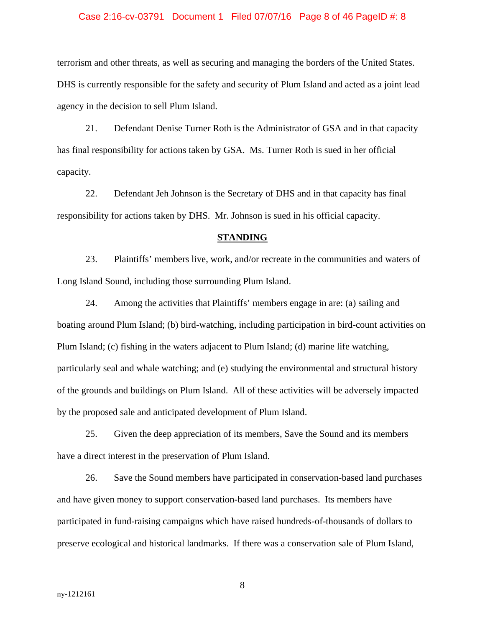### Case 2:16-cv-03791 Document 1 Filed 07/07/16 Page 8 of 46 PageID #: 8

terrorism and other threats, as well as securing and managing the borders of the United States. DHS is currently responsible for the safety and security of Plum Island and acted as a joint lead agency in the decision to sell Plum Island.

21. Defendant Denise Turner Roth is the Administrator of GSA and in that capacity has final responsibility for actions taken by GSA. Ms. Turner Roth is sued in her official capacity.

22. Defendant Jeh Johnson is the Secretary of DHS and in that capacity has final responsibility for actions taken by DHS. Mr. Johnson is sued in his official capacity.

### **STANDING**

23. Plaintiffs' members live, work, and/or recreate in the communities and waters of Long Island Sound, including those surrounding Plum Island.

24. Among the activities that Plaintiffs' members engage in are: (a) sailing and boating around Plum Island; (b) bird-watching, including participation in bird-count activities on Plum Island; (c) fishing in the waters adjacent to Plum Island; (d) marine life watching, particularly seal and whale watching; and (e) studying the environmental and structural history of the grounds and buildings on Plum Island. All of these activities will be adversely impacted by the proposed sale and anticipated development of Plum Island.

25. Given the deep appreciation of its members, Save the Sound and its members have a direct interest in the preservation of Plum Island.

26. Save the Sound members have participated in conservation-based land purchases and have given money to support conservation-based land purchases. Its members have participated in fund-raising campaigns which have raised hundreds-of-thousands of dollars to preserve ecological and historical landmarks. If there was a conservation sale of Plum Island,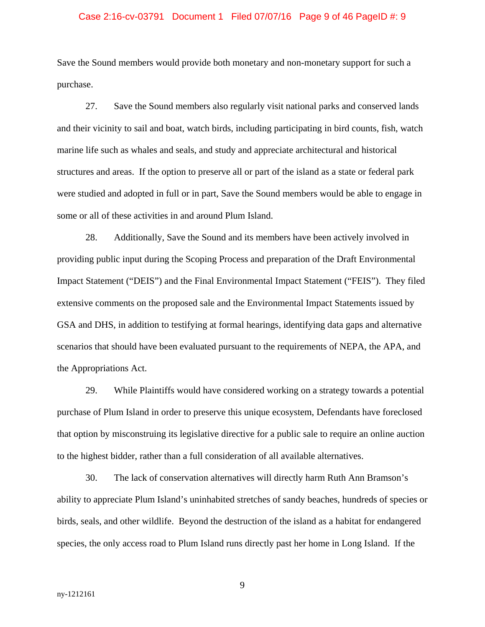#### Case 2:16-cv-03791 Document 1 Filed 07/07/16 Page 9 of 46 PageID #: 9

Save the Sound members would provide both monetary and non-monetary support for such a purchase.

27. Save the Sound members also regularly visit national parks and conserved lands and their vicinity to sail and boat, watch birds, including participating in bird counts, fish, watch marine life such as whales and seals, and study and appreciate architectural and historical structures and areas. If the option to preserve all or part of the island as a state or federal park were studied and adopted in full or in part, Save the Sound members would be able to engage in some or all of these activities in and around Plum Island.

28. Additionally, Save the Sound and its members have been actively involved in providing public input during the Scoping Process and preparation of the Draft Environmental Impact Statement ("DEIS") and the Final Environmental Impact Statement ("FEIS"). They filed extensive comments on the proposed sale and the Environmental Impact Statements issued by GSA and DHS, in addition to testifying at formal hearings, identifying data gaps and alternative scenarios that should have been evaluated pursuant to the requirements of NEPA, the APA, and the Appropriations Act.

29. While Plaintiffs would have considered working on a strategy towards a potential purchase of Plum Island in order to preserve this unique ecosystem, Defendants have foreclosed that option by misconstruing its legislative directive for a public sale to require an online auction to the highest bidder, rather than a full consideration of all available alternatives.

30. The lack of conservation alternatives will directly harm Ruth Ann Bramson's ability to appreciate Plum Island's uninhabited stretches of sandy beaches, hundreds of species or birds, seals, and other wildlife. Beyond the destruction of the island as a habitat for endangered species, the only access road to Plum Island runs directly past her home in Long Island. If the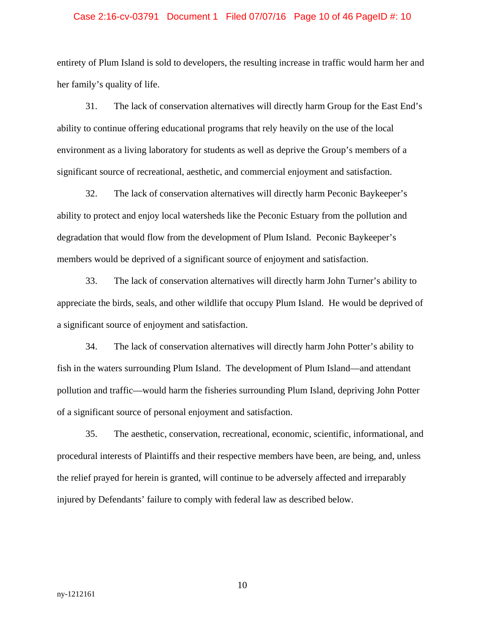#### Case 2:16-cv-03791 Document 1 Filed 07/07/16 Page 10 of 46 PageID #: 10

entirety of Plum Island is sold to developers, the resulting increase in traffic would harm her and her family's quality of life.

31. The lack of conservation alternatives will directly harm Group for the East End's ability to continue offering educational programs that rely heavily on the use of the local environment as a living laboratory for students as well as deprive the Group's members of a significant source of recreational, aesthetic, and commercial enjoyment and satisfaction.

32. The lack of conservation alternatives will directly harm Peconic Baykeeper's ability to protect and enjoy local watersheds like the Peconic Estuary from the pollution and degradation that would flow from the development of Plum Island. Peconic Baykeeper's members would be deprived of a significant source of enjoyment and satisfaction.

33. The lack of conservation alternatives will directly harm John Turner's ability to appreciate the birds, seals, and other wildlife that occupy Plum Island. He would be deprived of a significant source of enjoyment and satisfaction.

34. The lack of conservation alternatives will directly harm John Potter's ability to fish in the waters surrounding Plum Island. The development of Plum Island—and attendant pollution and traffic—would harm the fisheries surrounding Plum Island, depriving John Potter of a significant source of personal enjoyment and satisfaction.

35. The aesthetic, conservation, recreational, economic, scientific, informational, and procedural interests of Plaintiffs and their respective members have been, are being, and, unless the relief prayed for herein is granted, will continue to be adversely affected and irreparably injured by Defendants' failure to comply with federal law as described below.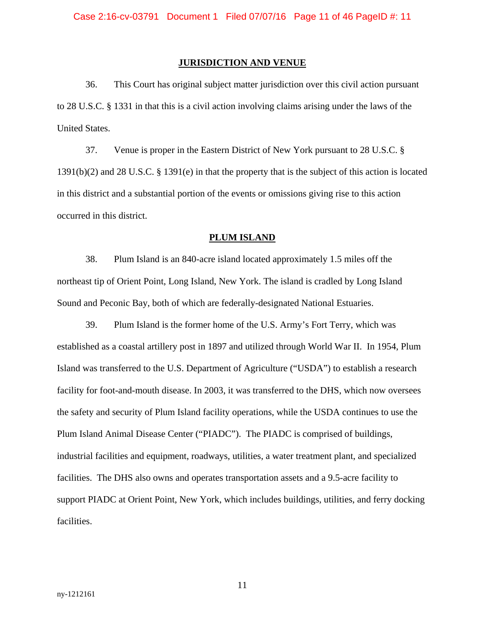#### **JURISDICTION AND VENUE**

36. This Court has original subject matter jurisdiction over this civil action pursuant to 28 U.S.C. § 1331 in that this is a civil action involving claims arising under the laws of the United States.

37. Venue is proper in the Eastern District of New York pursuant to 28 U.S.C. § 1391(b)(2) and 28 U.S.C. § 1391(e) in that the property that is the subject of this action is located in this district and a substantial portion of the events or omissions giving rise to this action occurred in this district.

#### **PLUM ISLAND**

38. Plum Island is an 840-acre island located approximately 1.5 miles off the northeast tip of Orient Point, Long Island, New York. The island is cradled by Long Island Sound and Peconic Bay, both of which are federally-designated National Estuaries.

39. Plum Island is the former home of the U.S. Army's Fort Terry, which was established as a coastal artillery post in 1897 and utilized through World War II. In 1954, Plum Island was transferred to the U.S. Department of Agriculture ("USDA") to establish a research facility for foot-and-mouth disease. In 2003, it was transferred to the DHS, which now oversees the safety and security of Plum Island facility operations, while the USDA continues to use the Plum Island Animal Disease Center ("PIADC"). The PIADC is comprised of buildings, industrial facilities and equipment, roadways, utilities, a water treatment plant, and specialized facilities. The DHS also owns and operates transportation assets and a 9.5-acre facility to support PIADC at Orient Point, New York, which includes buildings, utilities, and ferry docking facilities.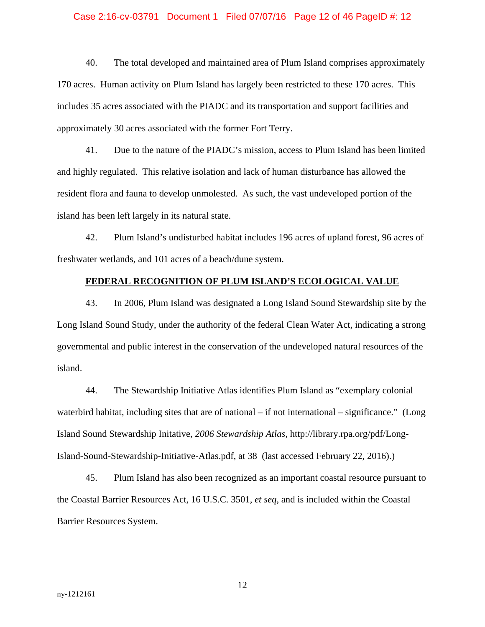#### Case 2:16-cv-03791 Document 1 Filed 07/07/16 Page 12 of 46 PageID #: 12

40. The total developed and maintained area of Plum Island comprises approximately 170 acres. Human activity on Plum Island has largely been restricted to these 170 acres. This includes 35 acres associated with the PIADC and its transportation and support facilities and approximately 30 acres associated with the former Fort Terry.

41. Due to the nature of the PIADC's mission, access to Plum Island has been limited and highly regulated. This relative isolation and lack of human disturbance has allowed the resident flora and fauna to develop unmolested. As such, the vast undeveloped portion of the island has been left largely in its natural state.

42. Plum Island's undisturbed habitat includes 196 acres of upland forest, 96 acres of freshwater wetlands, and 101 acres of a beach/dune system.

## **FEDERAL RECOGNITION OF PLUM ISLAND'S ECOLOGICAL VALUE**

43. In 2006, Plum Island was designated a Long Island Sound Stewardship site by the Long Island Sound Study, under the authority of the federal Clean Water Act, indicating a strong governmental and public interest in the conservation of the undeveloped natural resources of the island.

44. The Stewardship Initiative Atlas identifies Plum Island as "exemplary colonial waterbird habitat, including sites that are of national – if not international – significance." (Long Island Sound Stewardship Initative, *2006 Stewardship Atlas*, http://library.rpa.org/pdf/Long-Island-Sound-Stewardship-Initiative-Atlas.pdf, at 38 (last accessed February 22, 2016).)

45. Plum Island has also been recognized as an important coastal resource pursuant to the Coastal Barrier Resources Act, 16 U.S.C. 3501, *et seq*, and is included within the Coastal Barrier Resources System.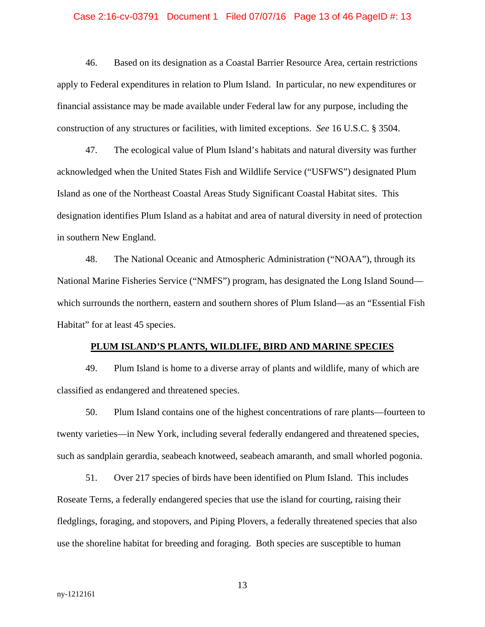#### Case 2:16-cv-03791 Document 1 Filed 07/07/16 Page 13 of 46 PageID #: 13

46. Based on its designation as a Coastal Barrier Resource Area, certain restrictions apply to Federal expenditures in relation to Plum Island. In particular, no new expenditures or financial assistance may be made available under Federal law for any purpose, including the construction of any structures or facilities, with limited exceptions. *See* 16 U.S.C. § 3504.

47. The ecological value of Plum Island's habitats and natural diversity was further acknowledged when the United States Fish and Wildlife Service ("USFWS") designated Plum Island as one of the Northeast Coastal Areas Study Significant Coastal Habitat sites. This designation identifies Plum Island as a habitat and area of natural diversity in need of protection in southern New England.

48. The National Oceanic and Atmospheric Administration ("NOAA"), through its National Marine Fisheries Service ("NMFS") program, has designated the Long Island Sound which surrounds the northern, eastern and southern shores of Plum Island—as an "Essential Fish Habitat" for at least 45 species.

#### **PLUM ISLAND'S PLANTS, WILDLIFE, BIRD AND MARINE SPECIES**

49. Plum Island is home to a diverse array of plants and wildlife, many of which are classified as endangered and threatened species.

50. Plum Island contains one of the highest concentrations of rare plants—fourteen to twenty varieties—in New York, including several federally endangered and threatened species, such as sandplain gerardia, seabeach knotweed, seabeach amaranth, and small whorled pogonia.

51. Over 217 species of birds have been identified on Plum Island. This includes Roseate Terns, a federally endangered species that use the island for courting, raising their fledglings, foraging, and stopovers, and Piping Plovers, a federally threatened species that also use the shoreline habitat for breeding and foraging. Both species are susceptible to human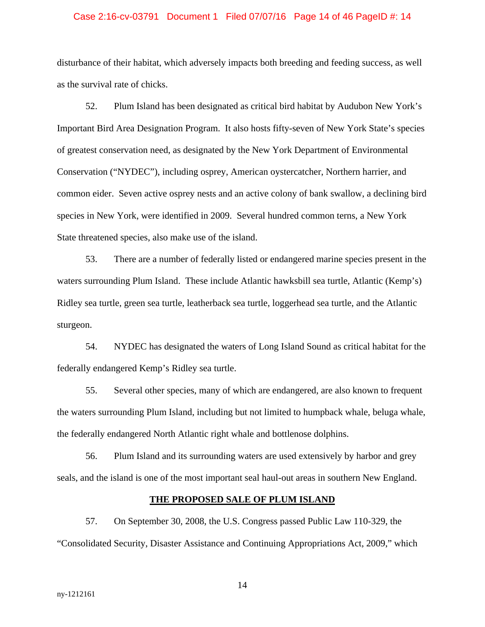#### Case 2:16-cv-03791 Document 1 Filed 07/07/16 Page 14 of 46 PageID #: 14

disturbance of their habitat, which adversely impacts both breeding and feeding success, as well as the survival rate of chicks.

52. Plum Island has been designated as critical bird habitat by Audubon New York's Important Bird Area Designation Program. It also hosts fifty-seven of New York State's species of greatest conservation need, as designated by the New York Department of Environmental Conservation ("NYDEC"), including osprey, American oystercatcher, Northern harrier, and common eider. Seven active osprey nests and an active colony of bank swallow, a declining bird species in New York, were identified in 2009. Several hundred common terns, a New York State threatened species, also make use of the island.

53. There are a number of federally listed or endangered marine species present in the waters surrounding Plum Island. These include Atlantic hawksbill sea turtle, Atlantic (Kemp's) Ridley sea turtle, green sea turtle, leatherback sea turtle, loggerhead sea turtle, and the Atlantic sturgeon.

54. NYDEC has designated the waters of Long Island Sound as critical habitat for the federally endangered Kemp's Ridley sea turtle.

55. Several other species, many of which are endangered, are also known to frequent the waters surrounding Plum Island, including but not limited to humpback whale, beluga whale, the federally endangered North Atlantic right whale and bottlenose dolphins.

56. Plum Island and its surrounding waters are used extensively by harbor and grey seals, and the island is one of the most important seal haul-out areas in southern New England.

## **THE PROPOSED SALE OF PLUM ISLAND**

57. On September 30, 2008, the U.S. Congress passed Public Law 110-329, the "Consolidated Security, Disaster Assistance and Continuing Appropriations Act, 2009," which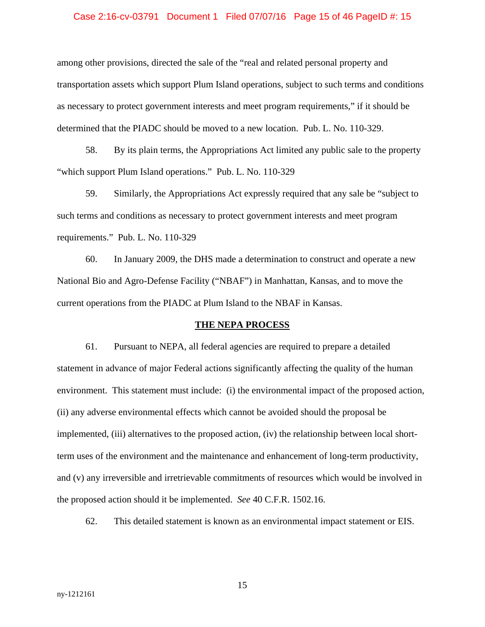#### Case 2:16-cv-03791 Document 1 Filed 07/07/16 Page 15 of 46 PageID #: 15

among other provisions, directed the sale of the "real and related personal property and transportation assets which support Plum Island operations, subject to such terms and conditions as necessary to protect government interests and meet program requirements," if it should be determined that the PIADC should be moved to a new location. Pub. L. No. 110-329.

58. By its plain terms, the Appropriations Act limited any public sale to the property "which support Plum Island operations." Pub. L. No. 110-329

59. Similarly, the Appropriations Act expressly required that any sale be "subject to such terms and conditions as necessary to protect government interests and meet program requirements." Pub. L. No. 110-329

60. In January 2009, the DHS made a determination to construct and operate a new National Bio and Agro-Defense Facility ("NBAF") in Manhattan, Kansas, and to move the current operations from the PIADC at Plum Island to the NBAF in Kansas.

#### **THE NEPA PROCESS**

61. Pursuant to NEPA, all federal agencies are required to prepare a detailed statement in advance of major Federal actions significantly affecting the quality of the human environment. This statement must include: (i) the environmental impact of the proposed action, (ii) any adverse environmental effects which cannot be avoided should the proposal be implemented, (iii) alternatives to the proposed action, (iv) the relationship between local shortterm uses of the environment and the maintenance and enhancement of long-term productivity, and (v) any irreversible and irretrievable commitments of resources which would be involved in the proposed action should it be implemented. *See* 40 C.F.R. 1502.16.

62. This detailed statement is known as an environmental impact statement or EIS.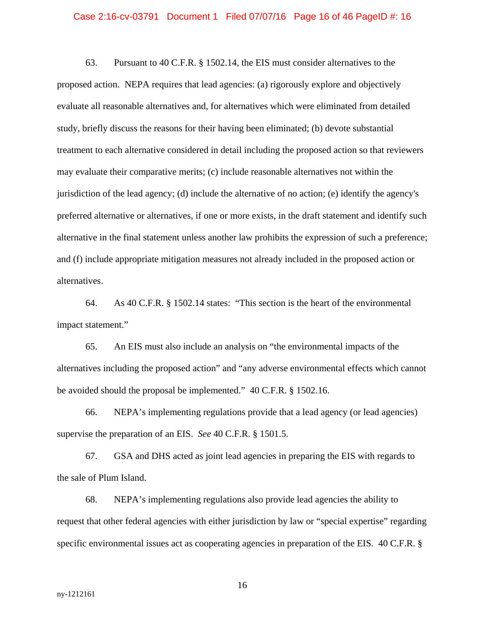#### Case 2:16-cv-03791 Document 1 Filed 07/07/16 Page 16 of 46 PageID #: 16

63. Pursuant to 40 C.F.R. § 1502.14, the EIS must consider alternatives to the proposed action. NEPA requires that lead agencies: (a) rigorously explore and objectively evaluate all reasonable alternatives and, for alternatives which were eliminated from detailed study, briefly discuss the reasons for their having been eliminated; (b) devote substantial treatment to each alternative considered in detail including the proposed action so that reviewers may evaluate their comparative merits; (c) include reasonable alternatives not within the jurisdiction of the lead agency; (d) include the alternative of no action; (e) identify the agency's preferred alternative or alternatives, if one or more exists, in the draft statement and identify such alternative in the final statement unless another law prohibits the expression of such a preference; and (f) include appropriate mitigation measures not already included in the proposed action or alternatives.

64. As 40 C.F.R. § 1502.14 states: "This section is the heart of the environmental impact statement."

65. An EIS must also include an analysis on "the environmental impacts of the alternatives including the proposed action" and "any adverse environmental effects which cannot be avoided should the proposal be implemented." 40 C.F.R. § 1502.16.

66. NEPA's implementing regulations provide that a lead agency (or lead agencies) supervise the preparation of an EIS. *See* 40 C.F.R. § 1501.5.

67. GSA and DHS acted as joint lead agencies in preparing the EIS with regards to the sale of Plum Island.

68. NEPA's implementing regulations also provide lead agencies the ability to request that other federal agencies with either jurisdiction by law or "special expertise" regarding specific environmental issues act as cooperating agencies in preparation of the EIS. 40 C.F.R. §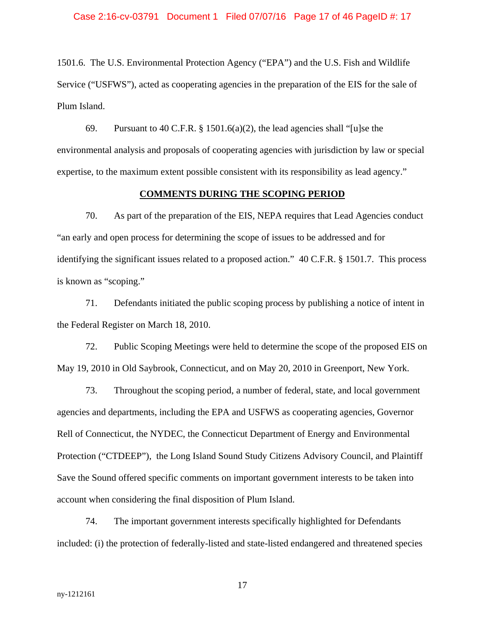1501.6. The U.S. Environmental Protection Agency ("EPA") and the U.S. Fish and Wildlife Service ("USFWS"), acted as cooperating agencies in the preparation of the EIS for the sale of Plum Island.

69. Pursuant to 40 C.F.R.  $\S$  1501.6(a)(2), the lead agencies shall "[u]se the environmental analysis and proposals of cooperating agencies with jurisdiction by law or special expertise, to the maximum extent possible consistent with its responsibility as lead agency."

#### **COMMENTS DURING THE SCOPING PERIOD**

70. As part of the preparation of the EIS, NEPA requires that Lead Agencies conduct "an early and open process for determining the scope of issues to be addressed and for identifying the significant issues related to a proposed action." 40 C.F.R. § 1501.7. This process is known as "scoping."

71. Defendants initiated the public scoping process by publishing a notice of intent in the Federal Register on March 18, 2010.

72. Public Scoping Meetings were held to determine the scope of the proposed EIS on May 19, 2010 in Old Saybrook, Connecticut, and on May 20, 2010 in Greenport, New York.

73. Throughout the scoping period, a number of federal, state, and local government agencies and departments, including the EPA and USFWS as cooperating agencies, Governor Rell of Connecticut, the NYDEC, the Connecticut Department of Energy and Environmental Protection ("CTDEEP"), the Long Island Sound Study Citizens Advisory Council, and Plaintiff Save the Sound offered specific comments on important government interests to be taken into account when considering the final disposition of Plum Island.

74. The important government interests specifically highlighted for Defendants included: (i) the protection of federally-listed and state-listed endangered and threatened species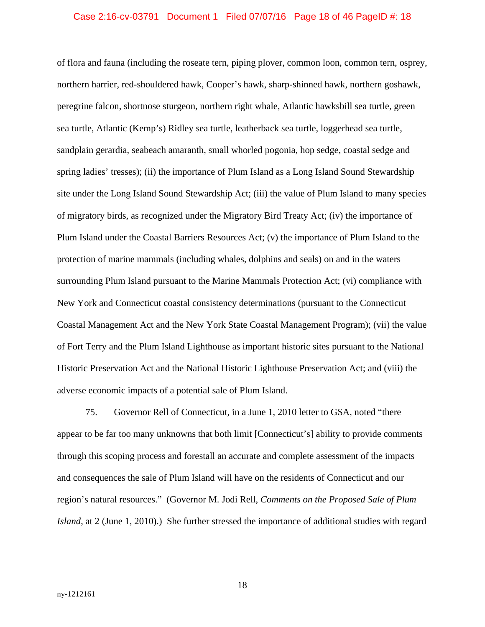#### Case 2:16-cv-03791 Document 1 Filed 07/07/16 Page 18 of 46 PageID #: 18

of flora and fauna (including the roseate tern, piping plover, common loon, common tern, osprey, northern harrier, red-shouldered hawk, Cooper's hawk, sharp-shinned hawk, northern goshawk, peregrine falcon, shortnose sturgeon, northern right whale, Atlantic hawksbill sea turtle, green sea turtle, Atlantic (Kemp's) Ridley sea turtle, leatherback sea turtle, loggerhead sea turtle, sandplain gerardia, seabeach amaranth, small whorled pogonia, hop sedge, coastal sedge and spring ladies' tresses); (ii) the importance of Plum Island as a Long Island Sound Stewardship site under the Long Island Sound Stewardship Act; (iii) the value of Plum Island to many species of migratory birds, as recognized under the Migratory Bird Treaty Act; (iv) the importance of Plum Island under the Coastal Barriers Resources Act; (v) the importance of Plum Island to the protection of marine mammals (including whales, dolphins and seals) on and in the waters surrounding Plum Island pursuant to the Marine Mammals Protection Act; (vi) compliance with New York and Connecticut coastal consistency determinations (pursuant to the Connecticut Coastal Management Act and the New York State Coastal Management Program); (vii) the value of Fort Terry and the Plum Island Lighthouse as important historic sites pursuant to the National Historic Preservation Act and the National Historic Lighthouse Preservation Act; and (viii) the adverse economic impacts of a potential sale of Plum Island.

75. Governor Rell of Connecticut, in a June 1, 2010 letter to GSA, noted "there appear to be far too many unknowns that both limit [Connecticut's] ability to provide comments through this scoping process and forestall an accurate and complete assessment of the impacts and consequences the sale of Plum Island will have on the residents of Connecticut and our region's natural resources." (Governor M. Jodi Rell, *Comments on the Proposed Sale of Plum Island*, at 2 (June 1, 2010).) She further stressed the importance of additional studies with regard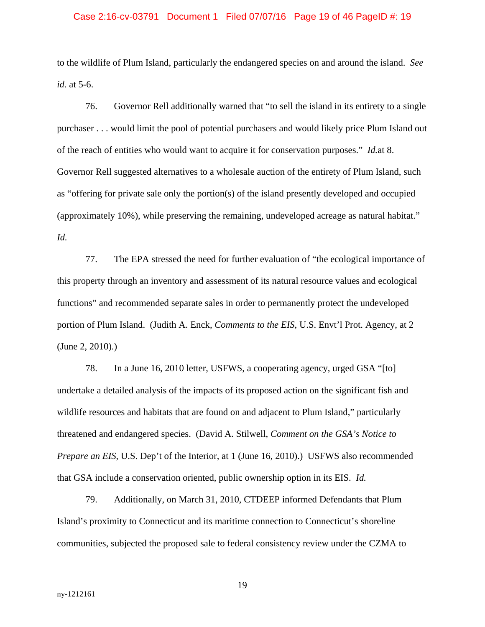#### Case 2:16-cv-03791 Document 1 Filed 07/07/16 Page 19 of 46 PageID #: 19

to the wildlife of Plum Island, particularly the endangered species on and around the island. *See id.* at 5-6.

76. Governor Rell additionally warned that "to sell the island in its entirety to a single purchaser . . . would limit the pool of potential purchasers and would likely price Plum Island out of the reach of entities who would want to acquire it for conservation purposes." *Id.*at 8. Governor Rell suggested alternatives to a wholesale auction of the entirety of Plum Island, such as "offering for private sale only the portion(s) of the island presently developed and occupied (approximately 10%), while preserving the remaining, undeveloped acreage as natural habitat." *Id.*

77. The EPA stressed the need for further evaluation of "the ecological importance of this property through an inventory and assessment of its natural resource values and ecological functions" and recommended separate sales in order to permanently protect the undeveloped portion of Plum Island. (Judith A. Enck, *Comments to the EIS*, U.S. Envt'l Prot. Agency, at 2 (June 2, 2010).)

78. In a June 16, 2010 letter, USFWS, a cooperating agency, urged GSA "[to] undertake a detailed analysis of the impacts of its proposed action on the significant fish and wildlife resources and habitats that are found on and adjacent to Plum Island," particularly threatened and endangered species. (David A. Stilwell, *Comment on the GSA's Notice to Prepare an EIS*, U.S. Dep't of the Interior, at 1 (June 16, 2010).) USFWS also recommended that GSA include a conservation oriented, public ownership option in its EIS. *Id.*

79. Additionally, on March 31, 2010, CTDEEP informed Defendants that Plum Island's proximity to Connecticut and its maritime connection to Connecticut's shoreline communities, subjected the proposed sale to federal consistency review under the CZMA to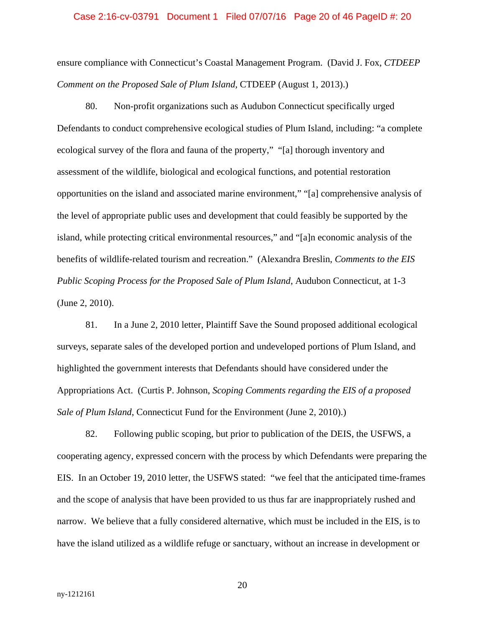#### Case 2:16-cv-03791 Document 1 Filed 07/07/16 Page 20 of 46 PageID #: 20

ensure compliance with Connecticut's Coastal Management Program. (David J. Fox, *CTDEEP Comment on the Proposed Sale of Plum Island,* CTDEEP (August 1, 2013).)

80. Non-profit organizations such as Audubon Connecticut specifically urged Defendants to conduct comprehensive ecological studies of Plum Island, including: "a complete ecological survey of the flora and fauna of the property," "[a] thorough inventory and assessment of the wildlife, biological and ecological functions, and potential restoration opportunities on the island and associated marine environment," "[a] comprehensive analysis of the level of appropriate public uses and development that could feasibly be supported by the island, while protecting critical environmental resources," and "[a]n economic analysis of the benefits of wildlife-related tourism and recreation." (Alexandra Breslin, *Comments to the EIS Public Scoping Process for the Proposed Sale of Plum Island*, Audubon Connecticut, at 1-3 (June 2, 2010).

81. In a June 2, 2010 letter, Plaintiff Save the Sound proposed additional ecological surveys, separate sales of the developed portion and undeveloped portions of Plum Island, and highlighted the government interests that Defendants should have considered under the Appropriations Act. (Curtis P. Johnson, *Scoping Comments regarding the EIS of a proposed Sale of Plum Island*, Connecticut Fund for the Environment (June 2, 2010).)

82. Following public scoping, but prior to publication of the DEIS, the USFWS, a cooperating agency, expressed concern with the process by which Defendants were preparing the EIS. In an October 19, 2010 letter, the USFWS stated: "we feel that the anticipated time-frames and the scope of analysis that have been provided to us thus far are inappropriately rushed and narrow. We believe that a fully considered alternative, which must be included in the EIS, is to have the island utilized as a wildlife refuge or sanctuary, without an increase in development or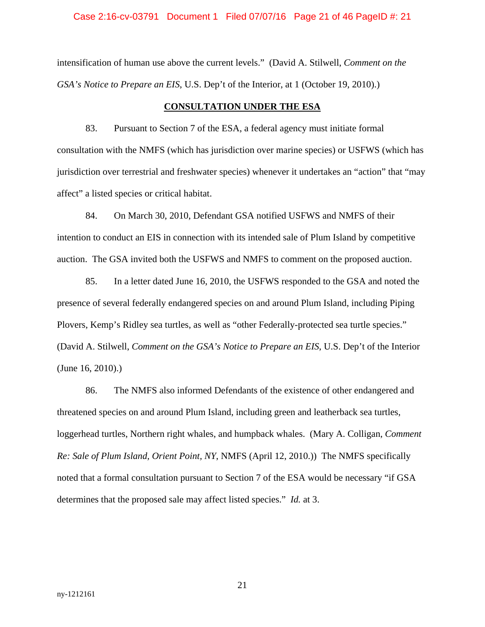#### Case 2:16-cv-03791 Document 1 Filed 07/07/16 Page 21 of 46 PageID #: 21

intensification of human use above the current levels." (David A. Stilwell, *Comment on the GSA's Notice to Prepare an EIS*, U.S. Dep't of the Interior, at 1 (October 19, 2010).)

## **CONSULTATION UNDER THE ESA**

83. Pursuant to Section 7 of the ESA, a federal agency must initiate formal consultation with the NMFS (which has jurisdiction over marine species) or USFWS (which has jurisdiction over terrestrial and freshwater species) whenever it undertakes an "action" that "may affect" a listed species or critical habitat.

84. On March 30, 2010, Defendant GSA notified USFWS and NMFS of their intention to conduct an EIS in connection with its intended sale of Plum Island by competitive auction. The GSA invited both the USFWS and NMFS to comment on the proposed auction.

85. In a letter dated June 16, 2010, the USFWS responded to the GSA and noted the presence of several federally endangered species on and around Plum Island, including Piping Plovers, Kemp's Ridley sea turtles, as well as "other Federally-protected sea turtle species." (David A. Stilwell, *Comment on the GSA's Notice to Prepare an EIS*, U.S. Dep't of the Interior (June 16, 2010).)

86. The NMFS also informed Defendants of the existence of other endangered and threatened species on and around Plum Island, including green and leatherback sea turtles, loggerhead turtles, Northern right whales, and humpback whales. (Mary A. Colligan, *Comment Re: Sale of Plum Island, Orient Point, NY*, NMFS (April 12, 2010.)) The NMFS specifically noted that a formal consultation pursuant to Section 7 of the ESA would be necessary "if GSA determines that the proposed sale may affect listed species." *Id.* at 3.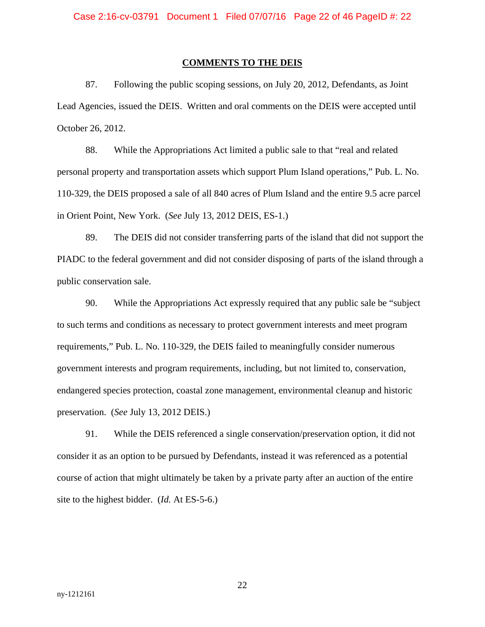#### **COMMENTS TO THE DEIS**

87. Following the public scoping sessions, on July 20, 2012, Defendants, as Joint Lead Agencies, issued the DEIS. Written and oral comments on the DEIS were accepted until October 26, 2012.

88. While the Appropriations Act limited a public sale to that "real and related personal property and transportation assets which support Plum Island operations," Pub. L. No. 110-329, the DEIS proposed a sale of all 840 acres of Plum Island and the entire 9.5 acre parcel in Orient Point, New York. (*See* July 13, 2012 DEIS, ES-1.)

89. The DEIS did not consider transferring parts of the island that did not support the PIADC to the federal government and did not consider disposing of parts of the island through a public conservation sale.

90. While the Appropriations Act expressly required that any public sale be "subject to such terms and conditions as necessary to protect government interests and meet program requirements," Pub. L. No. 110-329, the DEIS failed to meaningfully consider numerous government interests and program requirements, including, but not limited to, conservation, endangered species protection, coastal zone management, environmental cleanup and historic preservation. (*See* July 13, 2012 DEIS.)

91. While the DEIS referenced a single conservation/preservation option, it did not consider it as an option to be pursued by Defendants, instead it was referenced as a potential course of action that might ultimately be taken by a private party after an auction of the entire site to the highest bidder. (*Id.* At ES-5-6.)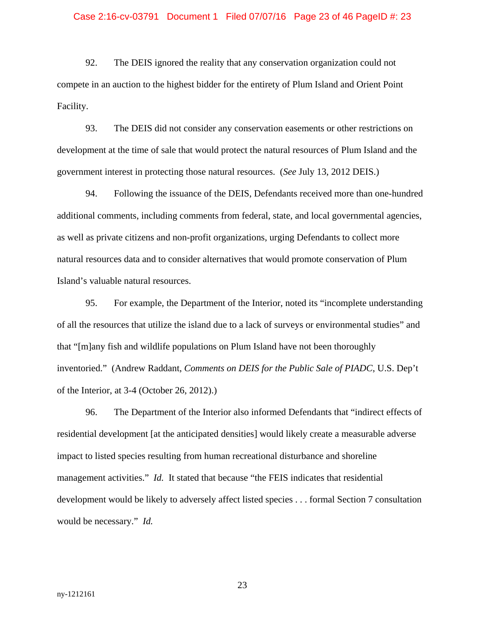#### Case 2:16-cv-03791 Document 1 Filed 07/07/16 Page 23 of 46 PageID #: 23

92. The DEIS ignored the reality that any conservation organization could not compete in an auction to the highest bidder for the entirety of Plum Island and Orient Point Facility.

93. The DEIS did not consider any conservation easements or other restrictions on development at the time of sale that would protect the natural resources of Plum Island and the government interest in protecting those natural resources. (*See* July 13, 2012 DEIS.)

94. Following the issuance of the DEIS, Defendants received more than one-hundred additional comments, including comments from federal, state, and local governmental agencies, as well as private citizens and non-profit organizations, urging Defendants to collect more natural resources data and to consider alternatives that would promote conservation of Plum Island's valuable natural resources.

95. For example, the Department of the Interior, noted its "incomplete understanding of all the resources that utilize the island due to a lack of surveys or environmental studies" and that "[m]any fish and wildlife populations on Plum Island have not been thoroughly inventoried." (Andrew Raddant, *Comments on DEIS for the Public Sale of PIADC*, U.S. Dep't of the Interior, at 3-4 (October 26, 2012).)

96. The Department of the Interior also informed Defendants that "indirect effects of residential development [at the anticipated densities] would likely create a measurable adverse impact to listed species resulting from human recreational disturbance and shoreline management activities." *Id.* It stated that because "the FEIS indicates that residential development would be likely to adversely affect listed species . . . formal Section 7 consultation would be necessary." *Id.*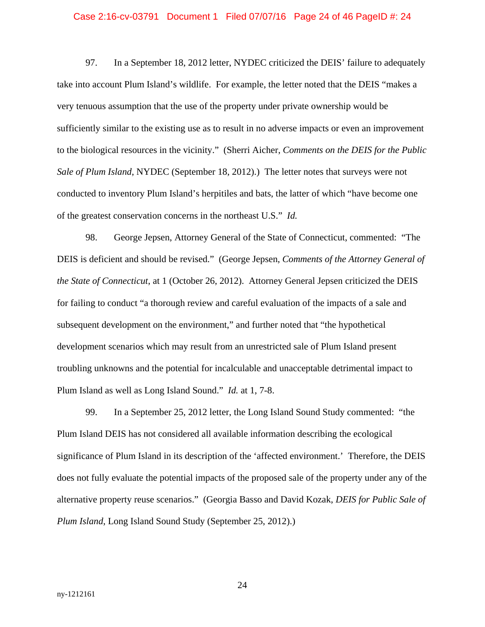#### Case 2:16-cv-03791 Document 1 Filed 07/07/16 Page 24 of 46 PageID #: 24

97. In a September 18, 2012 letter, NYDEC criticized the DEIS' failure to adequately take into account Plum Island's wildlife. For example, the letter noted that the DEIS "makes a very tenuous assumption that the use of the property under private ownership would be sufficiently similar to the existing use as to result in no adverse impacts or even an improvement to the biological resources in the vicinity." (Sherri Aicher, *Comments on the DEIS for the Public Sale of Plum Island*, NYDEC (September 18, 2012).) The letter notes that surveys were not conducted to inventory Plum Island's herpitiles and bats, the latter of which "have become one of the greatest conservation concerns in the northeast U.S." *Id.*

98. George Jepsen, Attorney General of the State of Connecticut, commented: "The DEIS is deficient and should be revised." (George Jepsen, *Comments of the Attorney General of the State of Connecticut*, at 1 (October 26, 2012). Attorney General Jepsen criticized the DEIS for failing to conduct "a thorough review and careful evaluation of the impacts of a sale and subsequent development on the environment," and further noted that "the hypothetical development scenarios which may result from an unrestricted sale of Plum Island present troubling unknowns and the potential for incalculable and unacceptable detrimental impact to Plum Island as well as Long Island Sound." *Id.* at 1, 7-8.

99. In a September 25, 2012 letter, the Long Island Sound Study commented: "the Plum Island DEIS has not considered all available information describing the ecological significance of Plum Island in its description of the 'affected environment.' Therefore, the DEIS does not fully evaluate the potential impacts of the proposed sale of the property under any of the alternative property reuse scenarios." (Georgia Basso and David Kozak, *DEIS for Public Sale of Plum Island*, Long Island Sound Study (September 25, 2012).)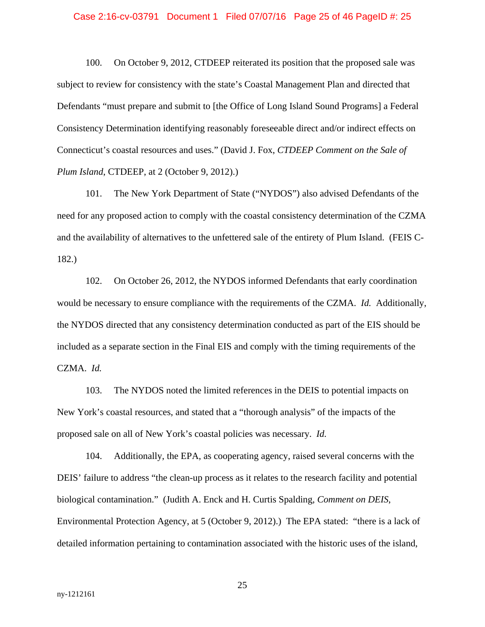#### Case 2:16-cv-03791 Document 1 Filed 07/07/16 Page 25 of 46 PageID #: 25

100. On October 9, 2012, CTDEEP reiterated its position that the proposed sale was subject to review for consistency with the state's Coastal Management Plan and directed that Defendants "must prepare and submit to [the Office of Long Island Sound Programs] a Federal Consistency Determination identifying reasonably foreseeable direct and/or indirect effects on Connecticut's coastal resources and uses." (David J. Fox, *CTDEEP Comment on the Sale of Plum Island*, CTDEEP, at 2 (October 9, 2012).)

101. The New York Department of State ("NYDOS") also advised Defendants of the need for any proposed action to comply with the coastal consistency determination of the CZMA and the availability of alternatives to the unfettered sale of the entirety of Plum Island. (FEIS C-182.)

102. On October 26, 2012, the NYDOS informed Defendants that early coordination would be necessary to ensure compliance with the requirements of the CZMA. *Id.* Additionally, the NYDOS directed that any consistency determination conducted as part of the EIS should be included as a separate section in the Final EIS and comply with the timing requirements of the CZMA. *Id.*

103. The NYDOS noted the limited references in the DEIS to potential impacts on New York's coastal resources, and stated that a "thorough analysis" of the impacts of the proposed sale on all of New York's coastal policies was necessary. *Id.*

104. Additionally, the EPA, as cooperating agency, raised several concerns with the DEIS' failure to address "the clean-up process as it relates to the research facility and potential biological contamination." (Judith A. Enck and H. Curtis Spalding, *Comment on DEIS*, Environmental Protection Agency, at 5 (October 9, 2012).) The EPA stated: "there is a lack of detailed information pertaining to contamination associated with the historic uses of the island,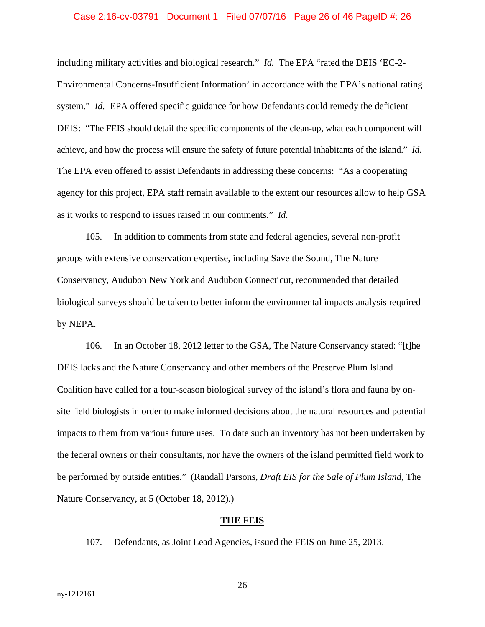#### Case 2:16-cv-03791 Document 1 Filed 07/07/16 Page 26 of 46 PageID #: 26

including military activities and biological research." *Id.* The EPA "rated the DEIS 'EC-2- Environmental Concerns-Insufficient Information' in accordance with the EPA's national rating system." *Id.* EPA offered specific guidance for how Defendants could remedy the deficient DEIS: "The FEIS should detail the specific components of the clean-up, what each component will achieve, and how the process will ensure the safety of future potential inhabitants of the island." *Id.* The EPA even offered to assist Defendants in addressing these concerns: "As a cooperating agency for this project, EPA staff remain available to the extent our resources allow to help GSA as it works to respond to issues raised in our comments." *Id.*

105. In addition to comments from state and federal agencies, several non-profit groups with extensive conservation expertise, including Save the Sound, The Nature Conservancy, Audubon New York and Audubon Connecticut, recommended that detailed biological surveys should be taken to better inform the environmental impacts analysis required by NEPA.

106. In an October 18, 2012 letter to the GSA, The Nature Conservancy stated: "[t]he DEIS lacks and the Nature Conservancy and other members of the Preserve Plum Island Coalition have called for a four-season biological survey of the island's flora and fauna by onsite field biologists in order to make informed decisions about the natural resources and potential impacts to them from various future uses. To date such an inventory has not been undertaken by the federal owners or their consultants, nor have the owners of the island permitted field work to be performed by outside entities." (Randall Parsons, *Draft EIS for the Sale of Plum Island*, The Nature Conservancy, at 5 (October 18, 2012).)

### **THE FEIS**

107. Defendants, as Joint Lead Agencies, issued the FEIS on June 25, 2013.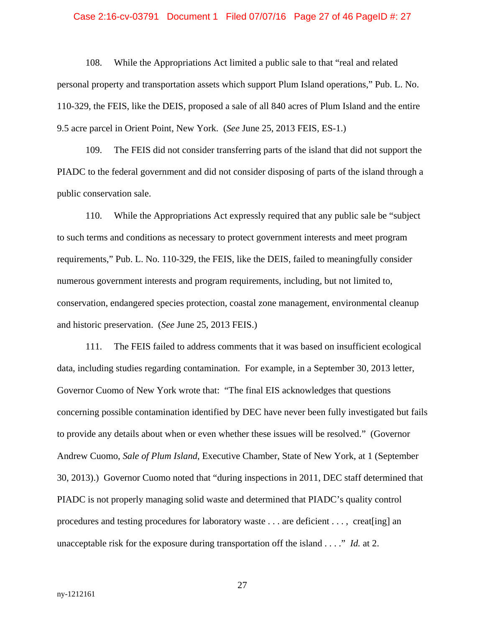#### Case 2:16-cv-03791 Document 1 Filed 07/07/16 Page 27 of 46 PageID #: 27

108. While the Appropriations Act limited a public sale to that "real and related personal property and transportation assets which support Plum Island operations," Pub. L. No. 110-329, the FEIS, like the DEIS, proposed a sale of all 840 acres of Plum Island and the entire 9.5 acre parcel in Orient Point, New York. (*See* June 25, 2013 FEIS, ES-1.)

109. The FEIS did not consider transferring parts of the island that did not support the PIADC to the federal government and did not consider disposing of parts of the island through a public conservation sale.

110. While the Appropriations Act expressly required that any public sale be "subject to such terms and conditions as necessary to protect government interests and meet program requirements," Pub. L. No. 110-329, the FEIS, like the DEIS, failed to meaningfully consider numerous government interests and program requirements, including, but not limited to, conservation, endangered species protection, coastal zone management, environmental cleanup and historic preservation. (*See* June 25, 2013 FEIS.)

111. The FEIS failed to address comments that it was based on insufficient ecological data, including studies regarding contamination. For example, in a September 30, 2013 letter, Governor Cuomo of New York wrote that: "The final EIS acknowledges that questions concerning possible contamination identified by DEC have never been fully investigated but fails to provide any details about when or even whether these issues will be resolved." (Governor Andrew Cuomo, *Sale of Plum Island*, Executive Chamber, State of New York, at 1 (September 30, 2013).) Governor Cuomo noted that "during inspections in 2011, DEC staff determined that PIADC is not properly managing solid waste and determined that PIADC's quality control procedures and testing procedures for laboratory waste . . . are deficient . . . , creat[ing] an unacceptable risk for the exposure during transportation off the island . . . ." *Id.* at 2.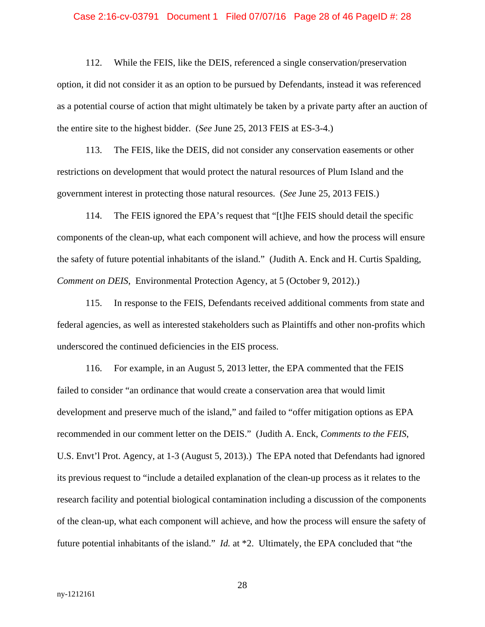#### Case 2:16-cv-03791 Document 1 Filed 07/07/16 Page 28 of 46 PageID #: 28

112. While the FEIS, like the DEIS, referenced a single conservation/preservation option, it did not consider it as an option to be pursued by Defendants, instead it was referenced as a potential course of action that might ultimately be taken by a private party after an auction of the entire site to the highest bidder. (*See* June 25, 2013 FEIS at ES-3-4.)

113. The FEIS, like the DEIS, did not consider any conservation easements or other restrictions on development that would protect the natural resources of Plum Island and the government interest in protecting those natural resources. (*See* June 25, 2013 FEIS.)

114. The FEIS ignored the EPA's request that "[t]he FEIS should detail the specific components of the clean-up, what each component will achieve, and how the process will ensure the safety of future potential inhabitants of the island." (Judith A. Enck and H. Curtis Spalding, *Comment on DEIS*, Environmental Protection Agency, at 5 (October 9, 2012).)

115. In response to the FEIS, Defendants received additional comments from state and federal agencies, as well as interested stakeholders such as Plaintiffs and other non-profits which underscored the continued deficiencies in the EIS process.

116. For example, in an August 5, 2013 letter, the EPA commented that the FEIS failed to consider "an ordinance that would create a conservation area that would limit development and preserve much of the island," and failed to "offer mitigation options as EPA recommended in our comment letter on the DEIS." (Judith A. Enck, *Comments to the FEIS*, U.S. Envt'l Prot. Agency, at 1-3 (August 5, 2013).) The EPA noted that Defendants had ignored its previous request to "include a detailed explanation of the clean-up process as it relates to the research facility and potential biological contamination including a discussion of the components of the clean-up, what each component will achieve, and how the process will ensure the safety of future potential inhabitants of the island." *Id.* at \*2. Ultimately, the EPA concluded that "the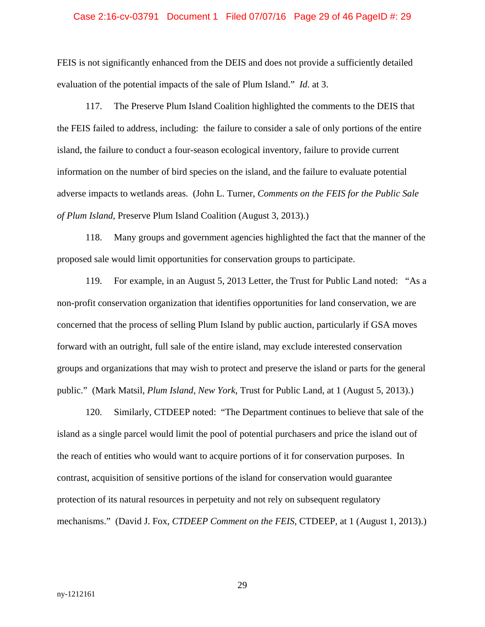#### Case 2:16-cv-03791 Document 1 Filed 07/07/16 Page 29 of 46 PageID #: 29

FEIS is not significantly enhanced from the DEIS and does not provide a sufficiently detailed evaluation of the potential impacts of the sale of Plum Island." *Id*. at 3.

117. The Preserve Plum Island Coalition highlighted the comments to the DEIS that the FEIS failed to address, including: the failure to consider a sale of only portions of the entire island, the failure to conduct a four-season ecological inventory, failure to provide current information on the number of bird species on the island, and the failure to evaluate potential adverse impacts to wetlands areas. (John L. Turner, *Comments on the FEIS for the Public Sale of Plum Island*, Preserve Plum Island Coalition (August 3, 2013).)

118. Many groups and government agencies highlighted the fact that the manner of the proposed sale would limit opportunities for conservation groups to participate.

119. For example, in an August 5, 2013 Letter, the Trust for Public Land noted: "As a non-profit conservation organization that identifies opportunities for land conservation, we are concerned that the process of selling Plum Island by public auction, particularly if GSA moves forward with an outright, full sale of the entire island, may exclude interested conservation groups and organizations that may wish to protect and preserve the island or parts for the general public." (Mark Matsil, *Plum Island, New York*, Trust for Public Land, at 1 (August 5, 2013).)

120. Similarly, CTDEEP noted: "The Department continues to believe that sale of the island as a single parcel would limit the pool of potential purchasers and price the island out of the reach of entities who would want to acquire portions of it for conservation purposes. In contrast, acquisition of sensitive portions of the island for conservation would guarantee protection of its natural resources in perpetuity and not rely on subsequent regulatory mechanisms." (David J. Fox, *CTDEEP Comment on the FEIS*, CTDEEP, at 1 (August 1, 2013).)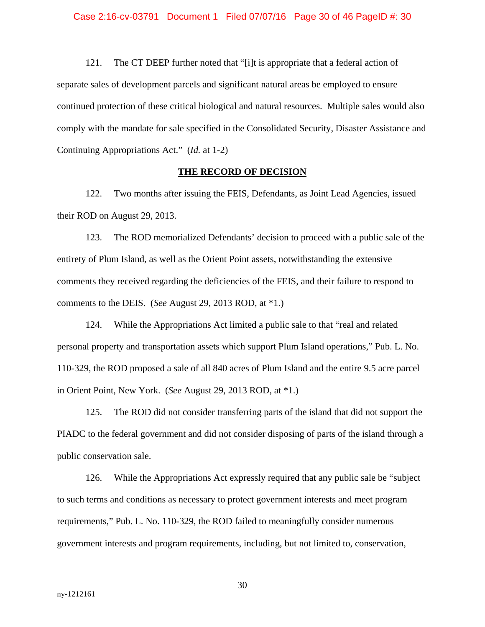121. The CT DEEP further noted that "[i]t is appropriate that a federal action of separate sales of development parcels and significant natural areas be employed to ensure continued protection of these critical biological and natural resources. Multiple sales would also comply with the mandate for sale specified in the Consolidated Security, Disaster Assistance and Continuing Appropriations Act." (*Id.* at 1-2)

## **THE RECORD OF DECISION**

122. Two months after issuing the FEIS, Defendants, as Joint Lead Agencies, issued their ROD on August 29, 2013.

123. The ROD memorialized Defendants' decision to proceed with a public sale of the entirety of Plum Island, as well as the Orient Point assets, notwithstanding the extensive comments they received regarding the deficiencies of the FEIS, and their failure to respond to comments to the DEIS. (*See* August 29, 2013 ROD, at \*1.)

124. While the Appropriations Act limited a public sale to that "real and related personal property and transportation assets which support Plum Island operations," Pub. L. No. 110-329, the ROD proposed a sale of all 840 acres of Plum Island and the entire 9.5 acre parcel in Orient Point, New York. (*See* August 29, 2013 ROD, at \*1.)

125. The ROD did not consider transferring parts of the island that did not support the PIADC to the federal government and did not consider disposing of parts of the island through a public conservation sale.

126. While the Appropriations Act expressly required that any public sale be "subject to such terms and conditions as necessary to protect government interests and meet program requirements," Pub. L. No. 110-329, the ROD failed to meaningfully consider numerous government interests and program requirements, including, but not limited to, conservation,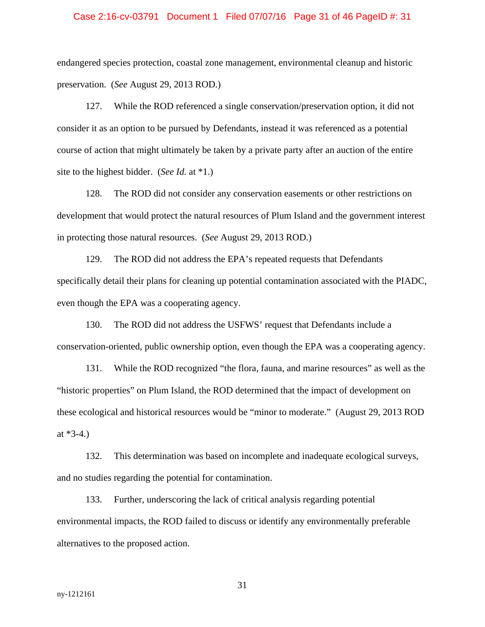#### Case 2:16-cv-03791 Document 1 Filed 07/07/16 Page 31 of 46 PageID #: 31

endangered species protection, coastal zone management, environmental cleanup and historic preservation. (*See* August 29, 2013 ROD.)

127. While the ROD referenced a single conservation/preservation option, it did not consider it as an option to be pursued by Defendants, instead it was referenced as a potential course of action that might ultimately be taken by a private party after an auction of the entire site to the highest bidder. (*See Id.* at \*1.)

128. The ROD did not consider any conservation easements or other restrictions on development that would protect the natural resources of Plum Island and the government interest in protecting those natural resources. (*See* August 29, 2013 ROD.)

129. The ROD did not address the EPA's repeated requests that Defendants specifically detail their plans for cleaning up potential contamination associated with the PIADC, even though the EPA was a cooperating agency.

130. The ROD did not address the USFWS' request that Defendants include a conservation-oriented, public ownership option, even though the EPA was a cooperating agency.

131. While the ROD recognized "the flora, fauna, and marine resources" as well as the "historic properties" on Plum Island, the ROD determined that the impact of development on these ecological and historical resources would be "minor to moderate." (August 29, 2013 ROD at  $*3-4.$ )

132. This determination was based on incomplete and inadequate ecological surveys, and no studies regarding the potential for contamination.

133. Further, underscoring the lack of critical analysis regarding potential environmental impacts, the ROD failed to discuss or identify any environmentally preferable alternatives to the proposed action.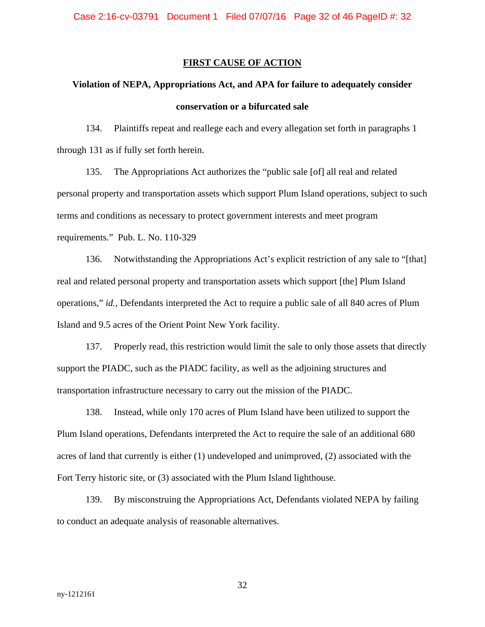## **FIRST CAUSE OF ACTION**

# **Violation of NEPA, Appropriations Act, and APA for failure to adequately consider conservation or a bifurcated sale**

134. Plaintiffs repeat and reallege each and every allegation set forth in paragraphs 1 through 131 as if fully set forth herein.

135. The Appropriations Act authorizes the "public sale [of] all real and related personal property and transportation assets which support Plum Island operations, subject to such terms and conditions as necessary to protect government interests and meet program requirements." Pub. L. No. 110-329

136. Notwithstanding the Appropriations Act's explicit restriction of any sale to "[that] real and related personal property and transportation assets which support [the] Plum Island operations," *id.*, Defendants interpreted the Act to require a public sale of all 840 acres of Plum Island and 9.5 acres of the Orient Point New York facility.

137. Properly read, this restriction would limit the sale to only those assets that directly support the PIADC, such as the PIADC facility, as well as the adjoining structures and transportation infrastructure necessary to carry out the mission of the PIADC.

138. Instead, while only 170 acres of Plum Island have been utilized to support the Plum Island operations, Defendants interpreted the Act to require the sale of an additional 680 acres of land that currently is either (1) undeveloped and unimproved, (2) associated with the Fort Terry historic site, or (3) associated with the Plum Island lighthouse.

139. By misconstruing the Appropriations Act, Defendants violated NEPA by failing to conduct an adequate analysis of reasonable alternatives.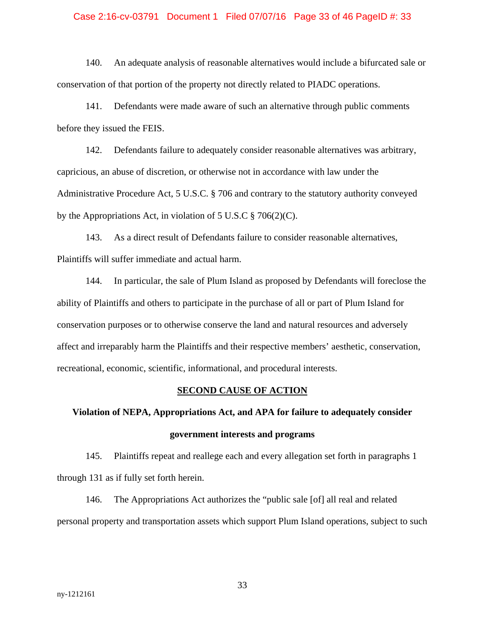#### Case 2:16-cv-03791 Document 1 Filed 07/07/16 Page 33 of 46 PageID #: 33

140. An adequate analysis of reasonable alternatives would include a bifurcated sale or conservation of that portion of the property not directly related to PIADC operations.

141. Defendants were made aware of such an alternative through public comments before they issued the FEIS.

142. Defendants failure to adequately consider reasonable alternatives was arbitrary, capricious, an abuse of discretion, or otherwise not in accordance with law under the Administrative Procedure Act, 5 U.S.C. § 706 and contrary to the statutory authority conveyed by the Appropriations Act, in violation of 5 U.S.C § 706(2)(C).

143. As a direct result of Defendants failure to consider reasonable alternatives, Plaintiffs will suffer immediate and actual harm.

144. In particular, the sale of Plum Island as proposed by Defendants will foreclose the ability of Plaintiffs and others to participate in the purchase of all or part of Plum Island for conservation purposes or to otherwise conserve the land and natural resources and adversely affect and irreparably harm the Plaintiffs and their respective members' aesthetic, conservation, recreational, economic, scientific, informational, and procedural interests.

#### **SECOND CAUSE OF ACTION**

# **Violation of NEPA, Appropriations Act, and APA for failure to adequately consider government interests and programs**

145. Plaintiffs repeat and reallege each and every allegation set forth in paragraphs 1 through 131 as if fully set forth herein.

146. The Appropriations Act authorizes the "public sale [of] all real and related personal property and transportation assets which support Plum Island operations, subject to such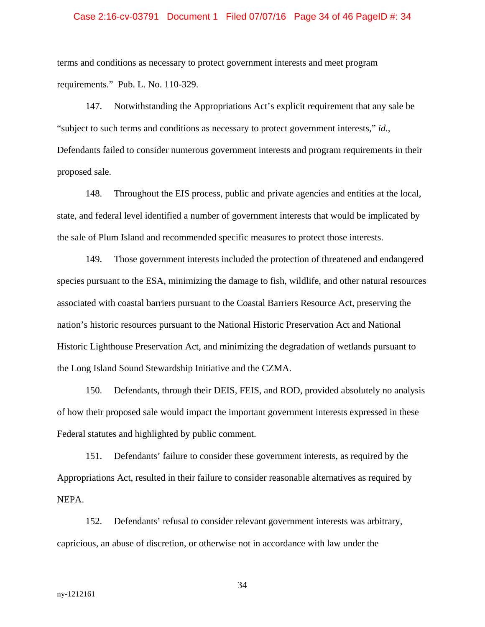#### Case 2:16-cv-03791 Document 1 Filed 07/07/16 Page 34 of 46 PageID #: 34

terms and conditions as necessary to protect government interests and meet program requirements." Pub. L. No. 110-329.

147. Notwithstanding the Appropriations Act's explicit requirement that any sale be "subject to such terms and conditions as necessary to protect government interests," *id.*, Defendants failed to consider numerous government interests and program requirements in their proposed sale.

148. Throughout the EIS process, public and private agencies and entities at the local, state, and federal level identified a number of government interests that would be implicated by the sale of Plum Island and recommended specific measures to protect those interests.

149. Those government interests included the protection of threatened and endangered species pursuant to the ESA, minimizing the damage to fish, wildlife, and other natural resources associated with coastal barriers pursuant to the Coastal Barriers Resource Act, preserving the nation's historic resources pursuant to the National Historic Preservation Act and National Historic Lighthouse Preservation Act, and minimizing the degradation of wetlands pursuant to the Long Island Sound Stewardship Initiative and the CZMA.

150. Defendants, through their DEIS, FEIS, and ROD, provided absolutely no analysis of how their proposed sale would impact the important government interests expressed in these Federal statutes and highlighted by public comment.

151. Defendants' failure to consider these government interests, as required by the Appropriations Act, resulted in their failure to consider reasonable alternatives as required by NEPA.

152. Defendants' refusal to consider relevant government interests was arbitrary, capricious, an abuse of discretion, or otherwise not in accordance with law under the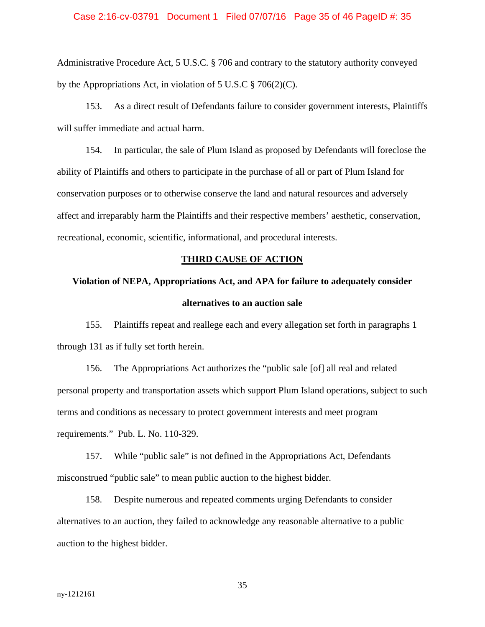#### Case 2:16-cv-03791 Document 1 Filed 07/07/16 Page 35 of 46 PageID #: 35

Administrative Procedure Act, 5 U.S.C. § 706 and contrary to the statutory authority conveyed by the Appropriations Act, in violation of 5 U.S.C § 706(2)(C).

153. As a direct result of Defendants failure to consider government interests, Plaintiffs will suffer immediate and actual harm.

154. In particular, the sale of Plum Island as proposed by Defendants will foreclose the ability of Plaintiffs and others to participate in the purchase of all or part of Plum Island for conservation purposes or to otherwise conserve the land and natural resources and adversely affect and irreparably harm the Plaintiffs and their respective members' aesthetic, conservation, recreational, economic, scientific, informational, and procedural interests.

#### **THIRD CAUSE OF ACTION**

# **Violation of NEPA, Appropriations Act, and APA for failure to adequately consider alternatives to an auction sale**

155. Plaintiffs repeat and reallege each and every allegation set forth in paragraphs 1 through 131 as if fully set forth herein.

156. The Appropriations Act authorizes the "public sale [of] all real and related personal property and transportation assets which support Plum Island operations, subject to such terms and conditions as necessary to protect government interests and meet program requirements." Pub. L. No. 110-329.

157. While "public sale" is not defined in the Appropriations Act, Defendants misconstrued "public sale" to mean public auction to the highest bidder.

158. Despite numerous and repeated comments urging Defendants to consider alternatives to an auction, they failed to acknowledge any reasonable alternative to a public auction to the highest bidder.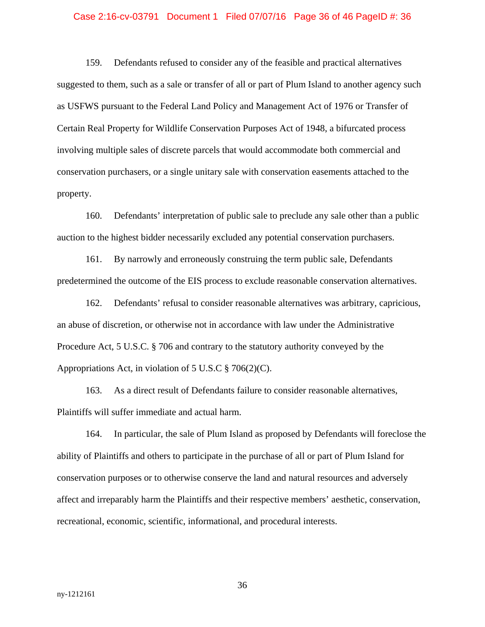#### Case 2:16-cv-03791 Document 1 Filed 07/07/16 Page 36 of 46 PageID #: 36

159. Defendants refused to consider any of the feasible and practical alternatives suggested to them, such as a sale or transfer of all or part of Plum Island to another agency such as USFWS pursuant to the Federal Land Policy and Management Act of 1976 or Transfer of Certain Real Property for Wildlife Conservation Purposes Act of 1948, a bifurcated process involving multiple sales of discrete parcels that would accommodate both commercial and conservation purchasers, or a single unitary sale with conservation easements attached to the property.

160. Defendants' interpretation of public sale to preclude any sale other than a public auction to the highest bidder necessarily excluded any potential conservation purchasers.

161. By narrowly and erroneously construing the term public sale, Defendants predetermined the outcome of the EIS process to exclude reasonable conservation alternatives.

162. Defendants' refusal to consider reasonable alternatives was arbitrary, capricious, an abuse of discretion, or otherwise not in accordance with law under the Administrative Procedure Act, 5 U.S.C. § 706 and contrary to the statutory authority conveyed by the Appropriations Act, in violation of 5 U.S.C § 706(2)(C).

163. As a direct result of Defendants failure to consider reasonable alternatives, Plaintiffs will suffer immediate and actual harm.

164. In particular, the sale of Plum Island as proposed by Defendants will foreclose the ability of Plaintiffs and others to participate in the purchase of all or part of Plum Island for conservation purposes or to otherwise conserve the land and natural resources and adversely affect and irreparably harm the Plaintiffs and their respective members' aesthetic, conservation, recreational, economic, scientific, informational, and procedural interests.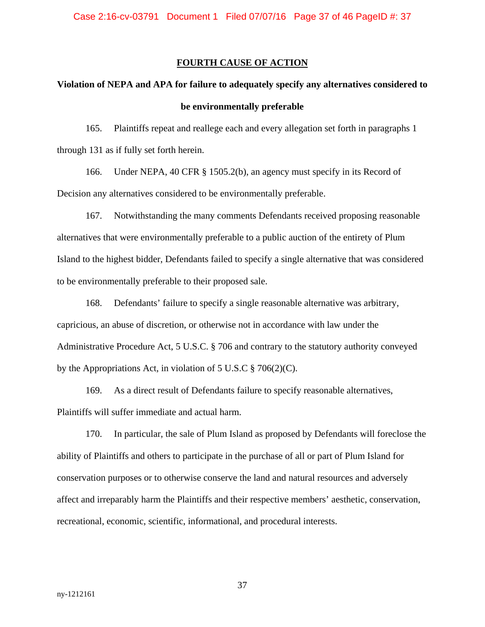## **FOURTH CAUSE OF ACTION**

# **Violation of NEPA and APA for failure to adequately specify any alternatives considered to be environmentally preferable**

165. Plaintiffs repeat and reallege each and every allegation set forth in paragraphs 1 through 131 as if fully set forth herein.

166. Under NEPA, 40 CFR § 1505.2(b), an agency must specify in its Record of Decision any alternatives considered to be environmentally preferable.

167. Notwithstanding the many comments Defendants received proposing reasonable alternatives that were environmentally preferable to a public auction of the entirety of Plum Island to the highest bidder, Defendants failed to specify a single alternative that was considered to be environmentally preferable to their proposed sale.

168. Defendants' failure to specify a single reasonable alternative was arbitrary, capricious, an abuse of discretion, or otherwise not in accordance with law under the Administrative Procedure Act, 5 U.S.C. § 706 and contrary to the statutory authority conveyed by the Appropriations Act, in violation of 5 U.S.C § 706(2)(C).

169. As a direct result of Defendants failure to specify reasonable alternatives, Plaintiffs will suffer immediate and actual harm.

170. In particular, the sale of Plum Island as proposed by Defendants will foreclose the ability of Plaintiffs and others to participate in the purchase of all or part of Plum Island for conservation purposes or to otherwise conserve the land and natural resources and adversely affect and irreparably harm the Plaintiffs and their respective members' aesthetic, conservation, recreational, economic, scientific, informational, and procedural interests.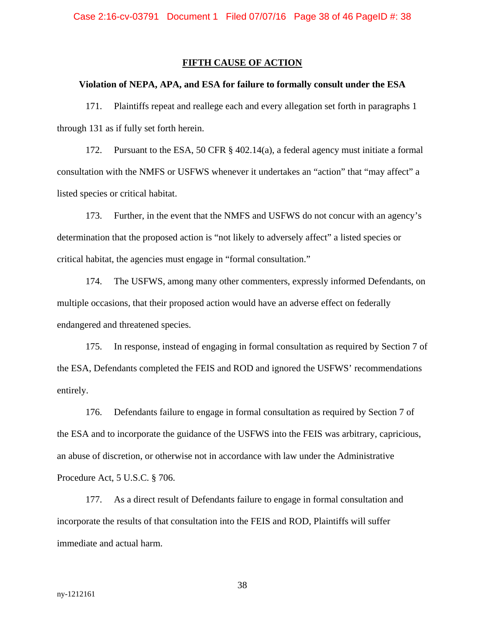## **FIFTH CAUSE OF ACTION**

## **Violation of NEPA, APA, and ESA for failure to formally consult under the ESA**

171. Plaintiffs repeat and reallege each and every allegation set forth in paragraphs 1 through 131 as if fully set forth herein.

172. Pursuant to the ESA, 50 CFR § 402.14(a), a federal agency must initiate a formal consultation with the NMFS or USFWS whenever it undertakes an "action" that "may affect" a listed species or critical habitat.

173. Further, in the event that the NMFS and USFWS do not concur with an agency's determination that the proposed action is "not likely to adversely affect" a listed species or critical habitat, the agencies must engage in "formal consultation."

174. The USFWS, among many other commenters, expressly informed Defendants, on multiple occasions, that their proposed action would have an adverse effect on federally endangered and threatened species.

175. In response, instead of engaging in formal consultation as required by Section 7 of the ESA, Defendants completed the FEIS and ROD and ignored the USFWS' recommendations entirely.

176. Defendants failure to engage in formal consultation as required by Section 7 of the ESA and to incorporate the guidance of the USFWS into the FEIS was arbitrary, capricious, an abuse of discretion, or otherwise not in accordance with law under the Administrative Procedure Act, 5 U.S.C. § 706.

177. As a direct result of Defendants failure to engage in formal consultation and incorporate the results of that consultation into the FEIS and ROD, Plaintiffs will suffer immediate and actual harm.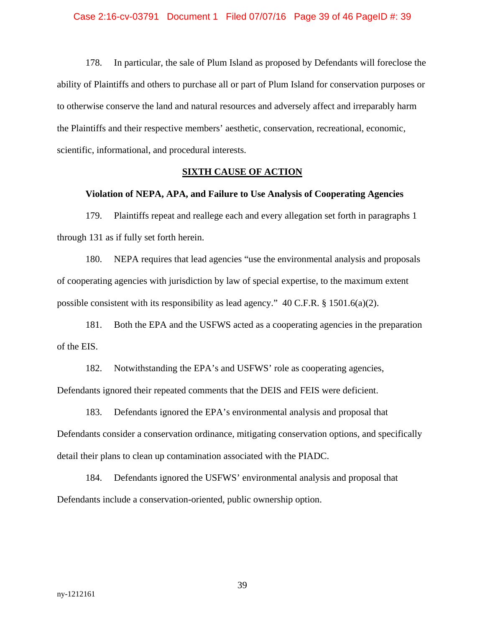178. In particular, the sale of Plum Island as proposed by Defendants will foreclose the ability of Plaintiffs and others to purchase all or part of Plum Island for conservation purposes or to otherwise conserve the land and natural resources and adversely affect and irreparably harm the Plaintiffs and their respective members' aesthetic, conservation, recreational, economic, scientific, informational, and procedural interests.

## **SIXTH CAUSE OF ACTION**

## **Violation of NEPA, APA, and Failure to Use Analysis of Cooperating Agencies**

179. Plaintiffs repeat and reallege each and every allegation set forth in paragraphs 1 through 131 as if fully set forth herein.

180. NEPA requires that lead agencies "use the environmental analysis and proposals of cooperating agencies with jurisdiction by law of special expertise, to the maximum extent possible consistent with its responsibility as lead agency."  $40 \text{ C.F.R.}$  § 1501.6(a)(2).

181. Both the EPA and the USFWS acted as a cooperating agencies in the preparation of the EIS.

182. Notwithstanding the EPA's and USFWS' role as cooperating agencies, Defendants ignored their repeated comments that the DEIS and FEIS were deficient.

183. Defendants ignored the EPA's environmental analysis and proposal that Defendants consider a conservation ordinance, mitigating conservation options, and specifically detail their plans to clean up contamination associated with the PIADC.

184. Defendants ignored the USFWS' environmental analysis and proposal that Defendants include a conservation-oriented, public ownership option.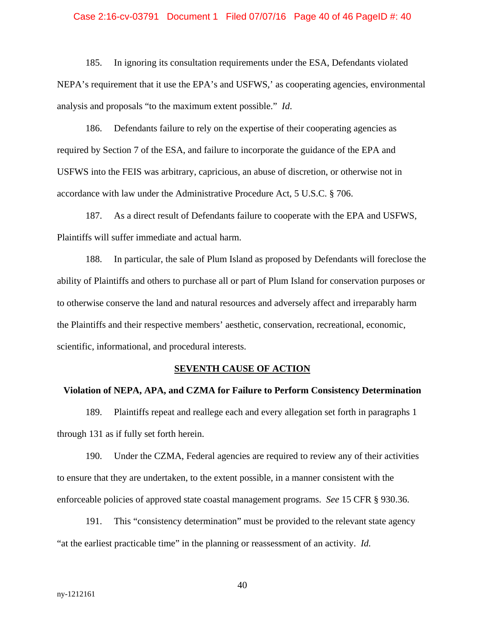#### Case 2:16-cv-03791 Document 1 Filed 07/07/16 Page 40 of 46 PageID #: 40

185. In ignoring its consultation requirements under the ESA, Defendants violated NEPA's requirement that it use the EPA's and USFWS,' as cooperating agencies, environmental analysis and proposals "to the maximum extent possible." *Id*.

186. Defendants failure to rely on the expertise of their cooperating agencies as required by Section 7 of the ESA, and failure to incorporate the guidance of the EPA and USFWS into the FEIS was arbitrary, capricious, an abuse of discretion, or otherwise not in accordance with law under the Administrative Procedure Act, 5 U.S.C. § 706.

187. As a direct result of Defendants failure to cooperate with the EPA and USFWS, Plaintiffs will suffer immediate and actual harm.

188. In particular, the sale of Plum Island as proposed by Defendants will foreclose the ability of Plaintiffs and others to purchase all or part of Plum Island for conservation purposes or to otherwise conserve the land and natural resources and adversely affect and irreparably harm the Plaintiffs and their respective members' aesthetic, conservation, recreational, economic, scientific, informational, and procedural interests.

#### **SEVENTH CAUSE OF ACTION**

## **Violation of NEPA, APA, and CZMA for Failure to Perform Consistency Determination**

189. Plaintiffs repeat and reallege each and every allegation set forth in paragraphs 1 through 131 as if fully set forth herein.

190. Under the CZMA, Federal agencies are required to review any of their activities to ensure that they are undertaken, to the extent possible, in a manner consistent with the enforceable policies of approved state coastal management programs. *See* 15 CFR § 930.36.

191. This "consistency determination" must be provided to the relevant state agency "at the earliest practicable time" in the planning or reassessment of an activity. *Id.*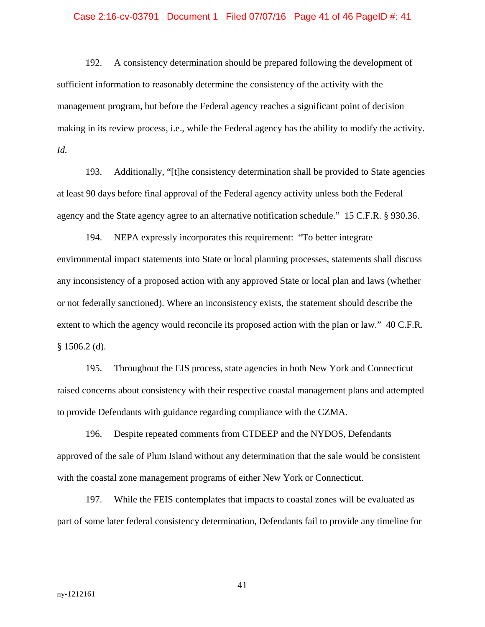#### Case 2:16-cv-03791 Document 1 Filed 07/07/16 Page 41 of 46 PageID #: 41

192. A consistency determination should be prepared following the development of sufficient information to reasonably determine the consistency of the activity with the management program, but before the Federal agency reaches a significant point of decision making in its review process, i.e., while the Federal agency has the ability to modify the activity. *Id.*

193. Additionally, "[t]he consistency determination shall be provided to State agencies at least 90 days before final approval of the Federal agency activity unless both the Federal agency and the State agency agree to an alternative notification schedule." 15 C.F.R. § 930.36.

194. NEPA expressly incorporates this requirement: "To better integrate environmental impact statements into State or local planning processes, statements shall discuss any inconsistency of a proposed action with any approved State or local plan and laws (whether or not federally sanctioned). Where an inconsistency exists, the statement should describe the extent to which the agency would reconcile its proposed action with the plan or law." 40 C.F.R.  $§ 1506.2$  (d).

195. Throughout the EIS process, state agencies in both New York and Connecticut raised concerns about consistency with their respective coastal management plans and attempted to provide Defendants with guidance regarding compliance with the CZMA.

196. Despite repeated comments from CTDEEP and the NYDOS, Defendants approved of the sale of Plum Island without any determination that the sale would be consistent with the coastal zone management programs of either New York or Connecticut.

197. While the FEIS contemplates that impacts to coastal zones will be evaluated as part of some later federal consistency determination, Defendants fail to provide any timeline for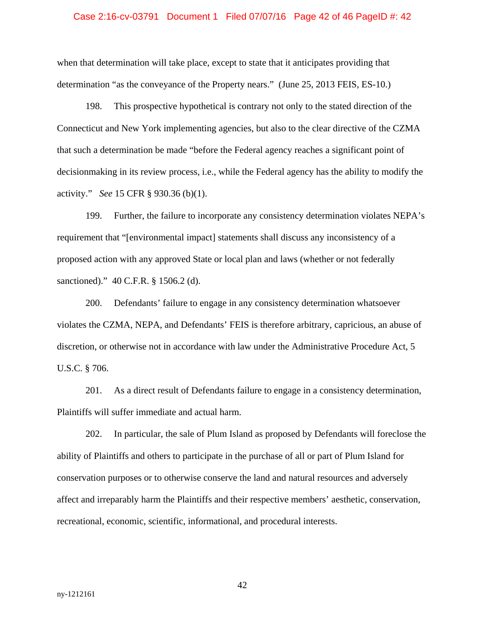#### Case 2:16-cv-03791 Document 1 Filed 07/07/16 Page 42 of 46 PageID #: 42

when that determination will take place, except to state that it anticipates providing that determination "as the conveyance of the Property nears." (June 25, 2013 FEIS, ES-10.)

198. This prospective hypothetical is contrary not only to the stated direction of the Connecticut and New York implementing agencies, but also to the clear directive of the CZMA that such a determination be made "before the Federal agency reaches a significant point of decisionmaking in its review process, i.e., while the Federal agency has the ability to modify the activity." *See* 15 CFR § 930.36 (b)(1).

199. Further, the failure to incorporate any consistency determination violates NEPA's requirement that "[environmental impact] statements shall discuss any inconsistency of a proposed action with any approved State or local plan and laws (whether or not federally sanctioned)." 40 C.F.R. § 1506.2 (d).

200. Defendants' failure to engage in any consistency determination whatsoever violates the CZMA, NEPA, and Defendants' FEIS is therefore arbitrary, capricious, an abuse of discretion, or otherwise not in accordance with law under the Administrative Procedure Act, 5 U.S.C. § 706.

201. As a direct result of Defendants failure to engage in a consistency determination, Plaintiffs will suffer immediate and actual harm.

202. In particular, the sale of Plum Island as proposed by Defendants will foreclose the ability of Plaintiffs and others to participate in the purchase of all or part of Plum Island for conservation purposes or to otherwise conserve the land and natural resources and adversely affect and irreparably harm the Plaintiffs and their respective members' aesthetic, conservation, recreational, economic, scientific, informational, and procedural interests.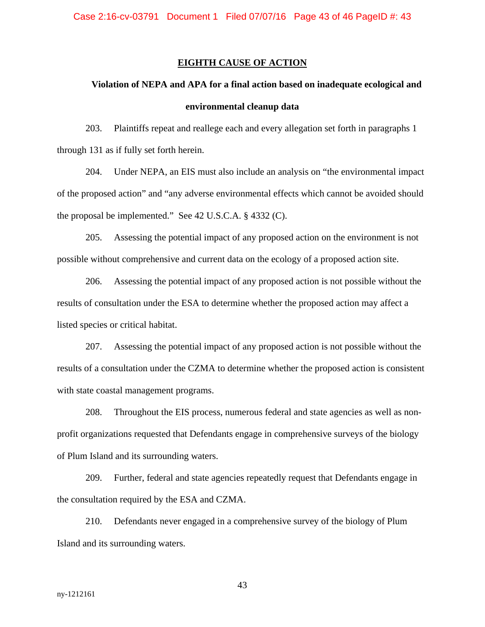## **EIGHTH CAUSE OF ACTION**

# **Violation of NEPA and APA for a final action based on inadequate ecological and environmental cleanup data**

203. Plaintiffs repeat and reallege each and every allegation set forth in paragraphs 1 through 131 as if fully set forth herein.

204. Under NEPA, an EIS must also include an analysis on "the environmental impact of the proposed action" and "any adverse environmental effects which cannot be avoided should the proposal be implemented." See 42 U.S.C.A. § 4332 (C).

205. Assessing the potential impact of any proposed action on the environment is not possible without comprehensive and current data on the ecology of a proposed action site.

206. Assessing the potential impact of any proposed action is not possible without the results of consultation under the ESA to determine whether the proposed action may affect a listed species or critical habitat.

207. Assessing the potential impact of any proposed action is not possible without the results of a consultation under the CZMA to determine whether the proposed action is consistent with state coastal management programs.

208. Throughout the EIS process, numerous federal and state agencies as well as nonprofit organizations requested that Defendants engage in comprehensive surveys of the biology of Plum Island and its surrounding waters.

209. Further, federal and state agencies repeatedly request that Defendants engage in the consultation required by the ESA and CZMA.

210. Defendants never engaged in a comprehensive survey of the biology of Plum Island and its surrounding waters.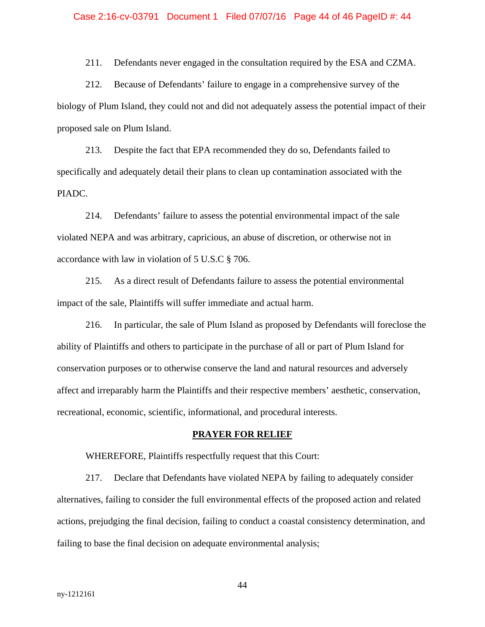#### Case 2:16-cv-03791 Document 1 Filed 07/07/16 Page 44 of 46 PageID #: 44

211. Defendants never engaged in the consultation required by the ESA and CZMA.

212. Because of Defendants' failure to engage in a comprehensive survey of the biology of Plum Island, they could not and did not adequately assess the potential impact of their proposed sale on Plum Island.

213. Despite the fact that EPA recommended they do so, Defendants failed to specifically and adequately detail their plans to clean up contamination associated with the PIADC.

214. Defendants' failure to assess the potential environmental impact of the sale violated NEPA and was arbitrary, capricious, an abuse of discretion, or otherwise not in accordance with law in violation of 5 U.S.C § 706.

215. As a direct result of Defendants failure to assess the potential environmental impact of the sale, Plaintiffs will suffer immediate and actual harm.

216. In particular, the sale of Plum Island as proposed by Defendants will foreclose the ability of Plaintiffs and others to participate in the purchase of all or part of Plum Island for conservation purposes or to otherwise conserve the land and natural resources and adversely affect and irreparably harm the Plaintiffs and their respective members' aesthetic, conservation, recreational, economic, scientific, informational, and procedural interests.

#### **PRAYER FOR RELIEF**

WHEREFORE, Plaintiffs respectfully request that this Court:

217. Declare that Defendants have violated NEPA by failing to adequately consider alternatives, failing to consider the full environmental effects of the proposed action and related actions, prejudging the final decision, failing to conduct a coastal consistency determination, and failing to base the final decision on adequate environmental analysis;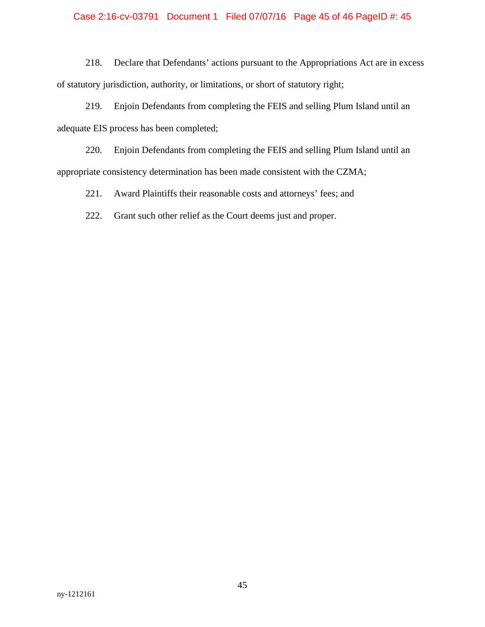## Case 2:16-cv-03791 Document 1 Filed 07/07/16 Page 45 of 46 PageID #: 45

218. Declare that Defendants' actions pursuant to the Appropriations Act are in excess of statutory jurisdiction, authority, or limitations, or short of statutory right;

219. Enjoin Defendants from completing the FEIS and selling Plum Island until an adequate EIS process has been completed;

220. Enjoin Defendants from completing the FEIS and selling Plum Island until an appropriate consistency determination has been made consistent with the CZMA;

221. Award Plaintiffs their reasonable costs and attorneys' fees; and

222. Grant such other relief as the Court deems just and proper.